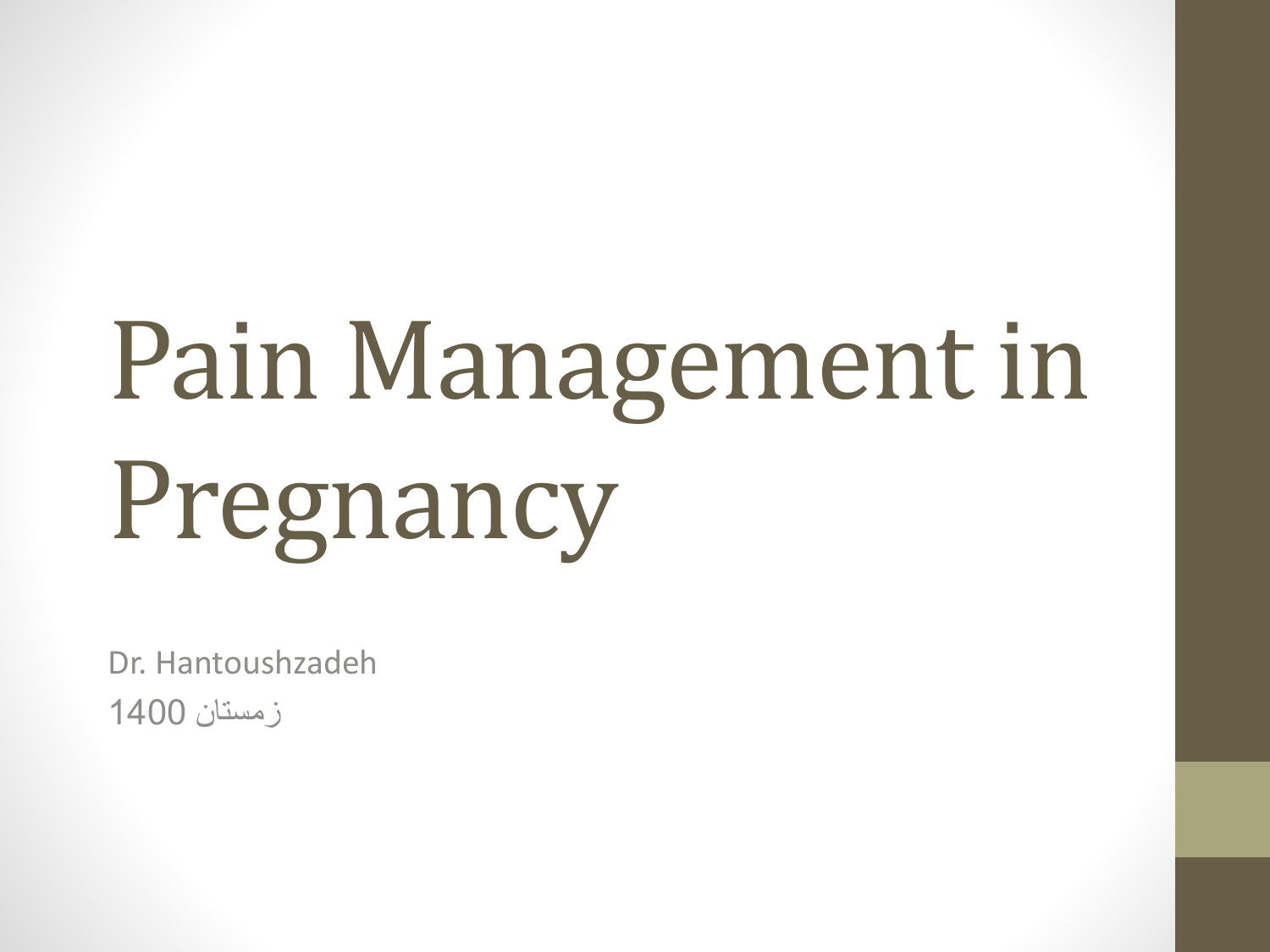# Pain Management in Pregnancy

Dr. Hantoushzadeh زمستان 1400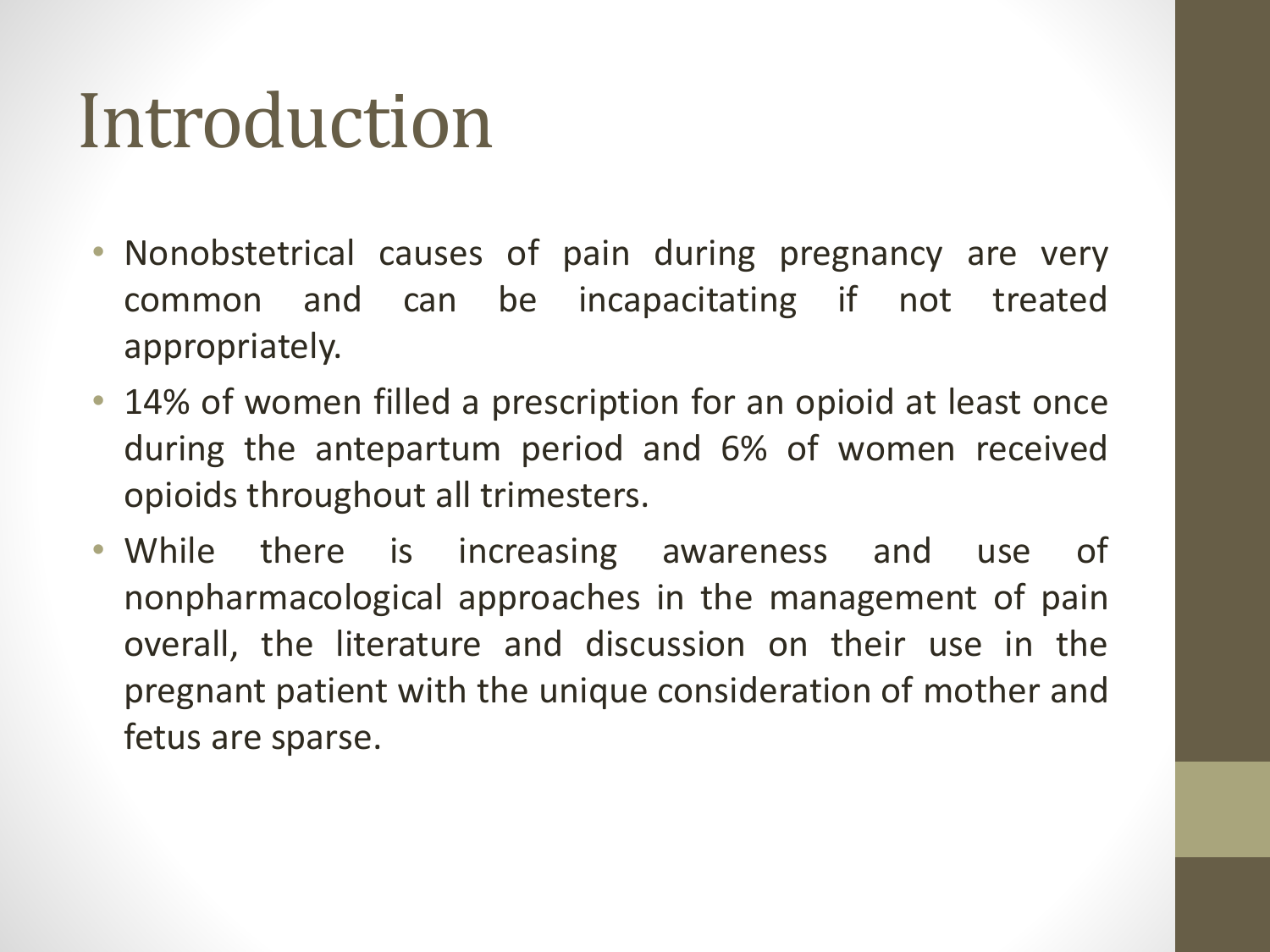#### Introduction

- Nonobstetrical causes of pain during pregnancy are very common and can be incapacitating if not treated appropriately.
- 14% of women filled a prescription for an opioid at least once during the antepartum period and 6% of women received opioids throughout all trimesters.
- While there is increasing awareness and use of nonpharmacological approaches in the management of pain overall, the literature and discussion on their use in the pregnant patient with the unique consideration of mother and fetus are sparse.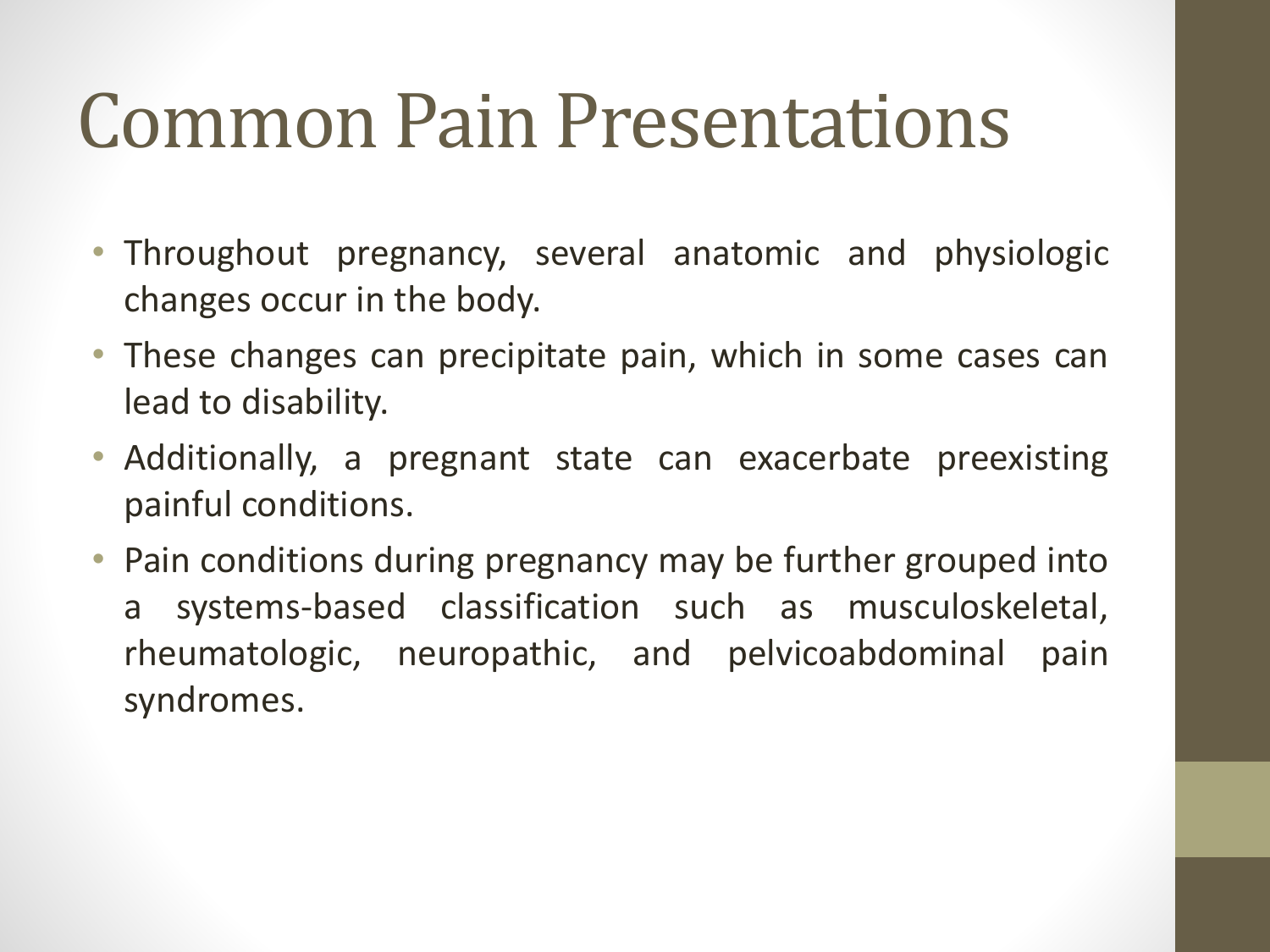#### Common Pain Presentations

- Throughout pregnancy, several anatomic and physiologic changes occur in the body.
- These changes can precipitate pain, which in some cases can lead to disability.
- Additionally, a pregnant state can exacerbate preexisting painful conditions.
- Pain conditions during pregnancy may be further grouped into a systems-based classification such as musculoskeletal, rheumatologic, neuropathic, and pelvicoabdominal pain syndromes.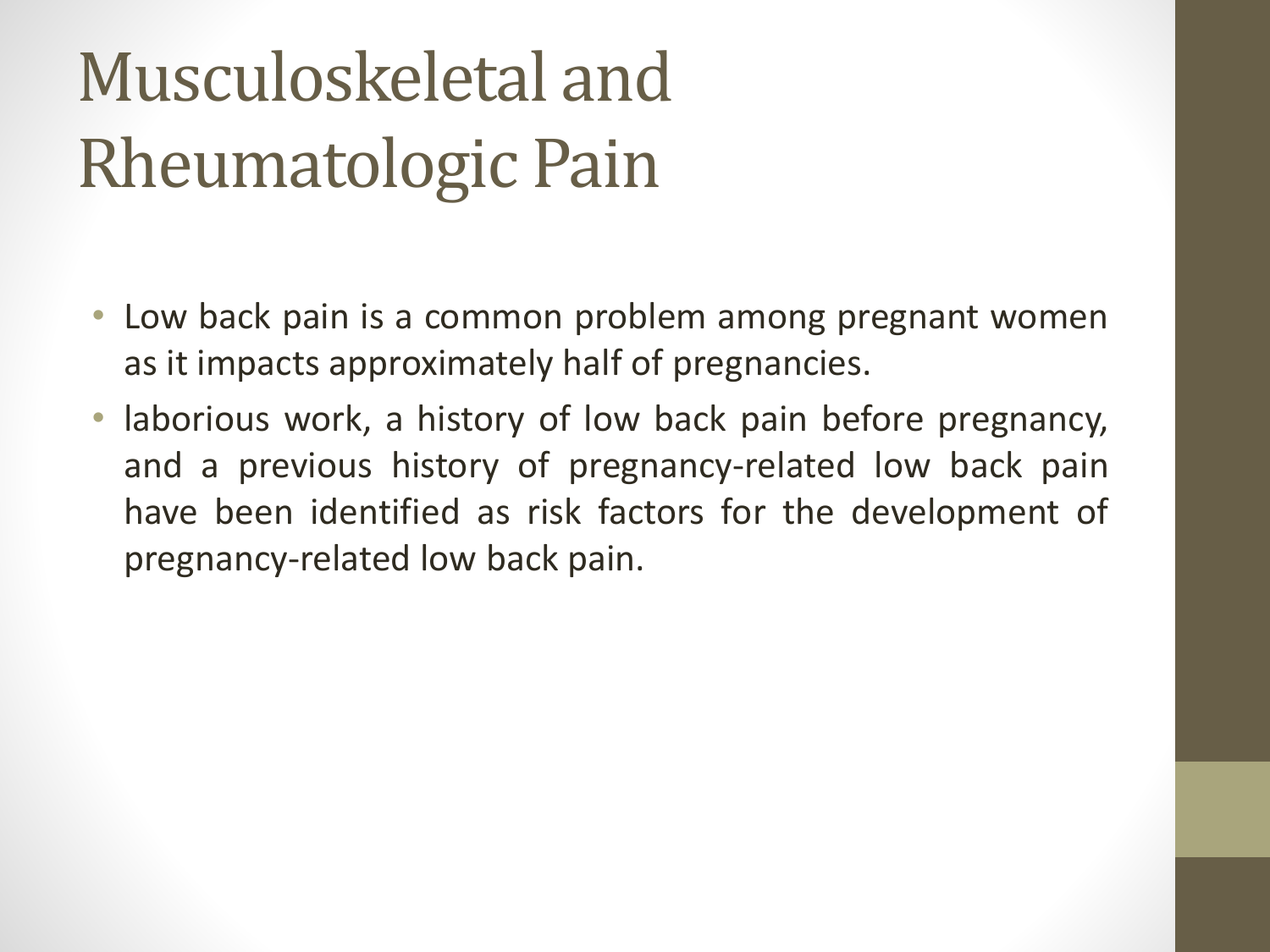### Musculoskeletal and Rheumatologic Pain

- Low back pain is a common problem among pregnant women as it impacts approximately half of pregnancies.
- laborious work, a history of low back pain before pregnancy, and a previous history of pregnancy-related low back pain have been identified as risk factors for the development of pregnancy-related low back pain.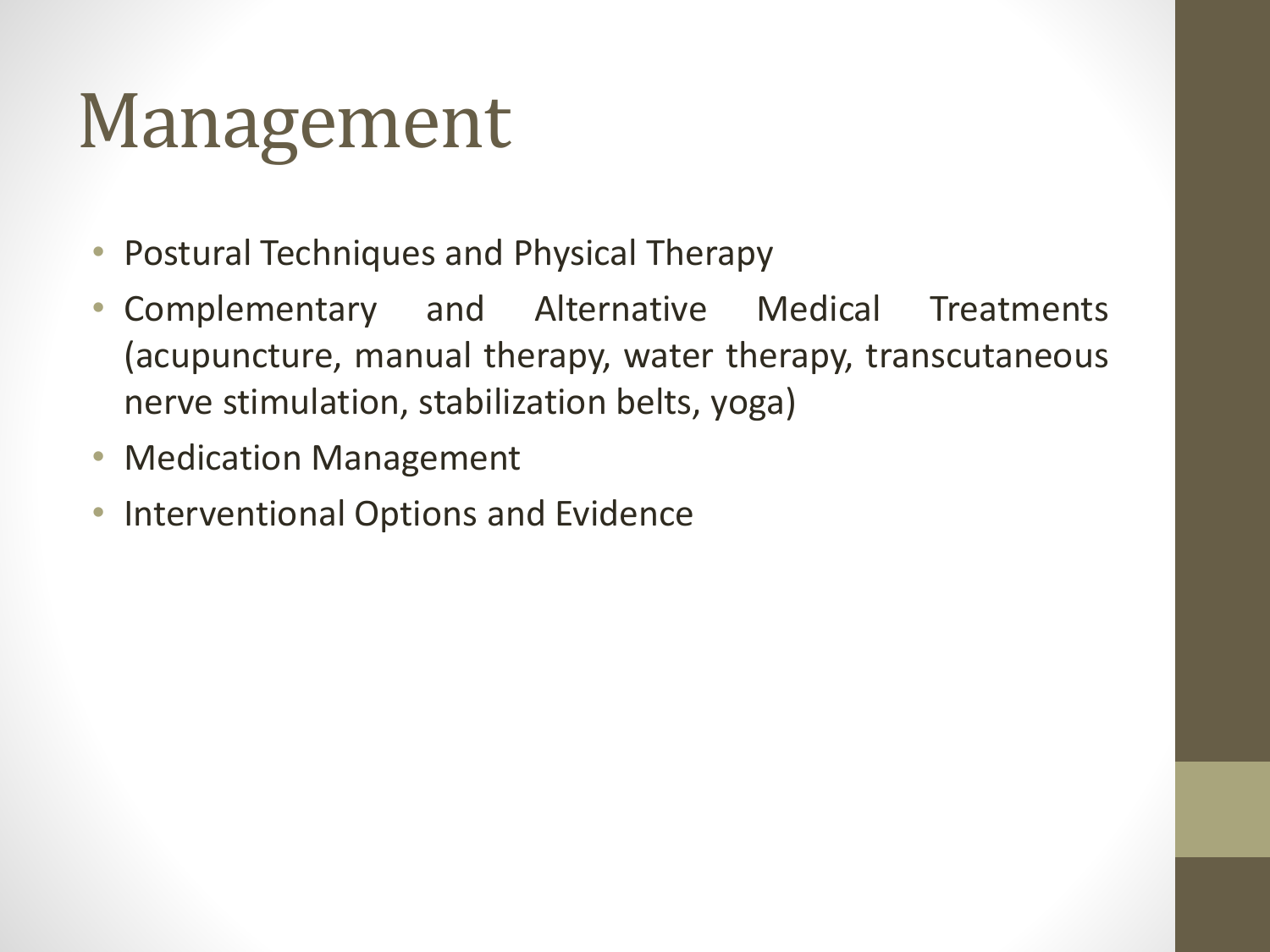- Postural Techniques and Physical Therapy
- Complementary and Alternative Medical Treatments (acupuncture, manual therapy, water therapy, transcutaneous nerve stimulation, stabilization belts, yoga)
- Medication Management
- Interventional Options and Evidence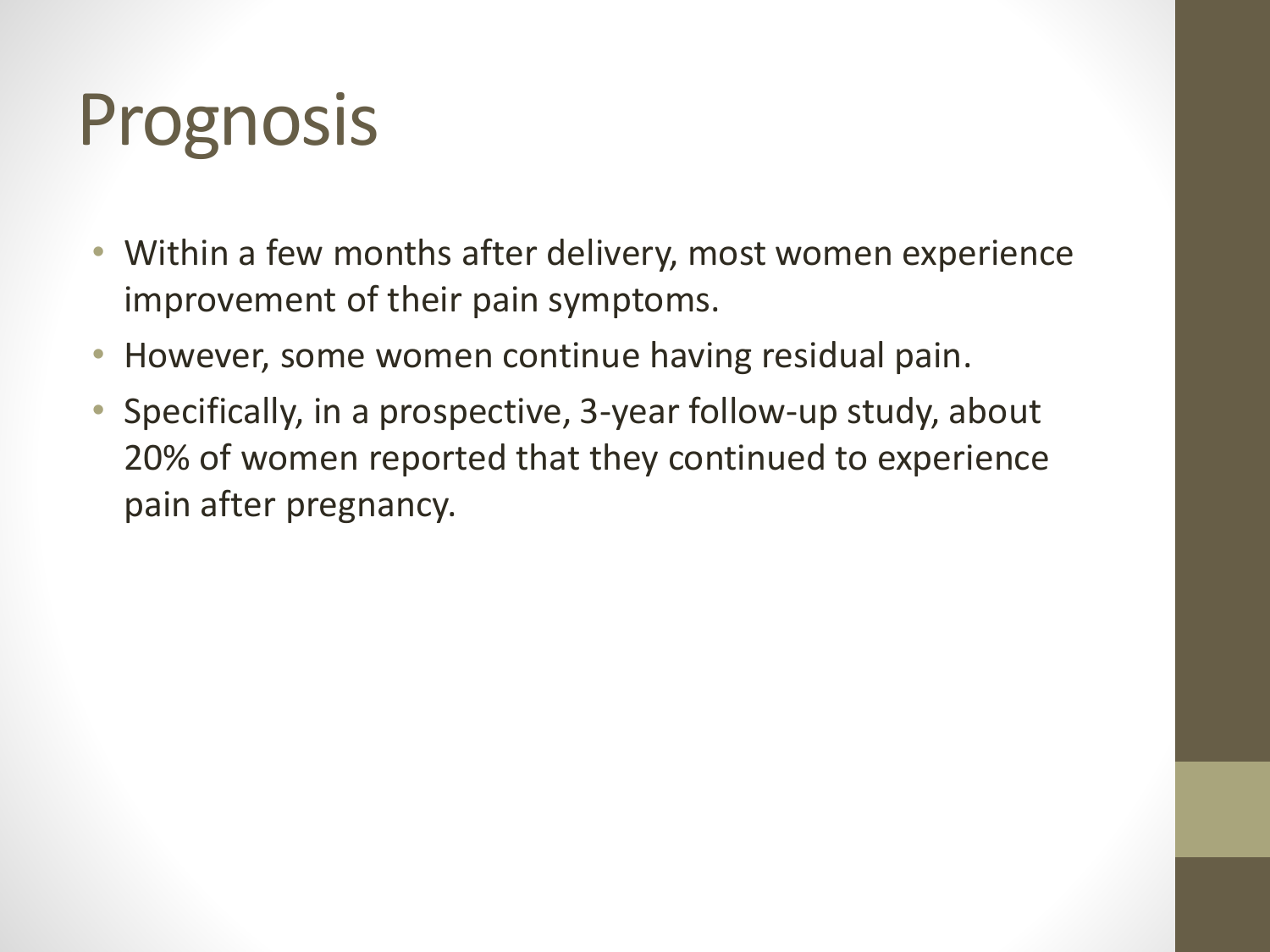### Prognosis

- Within a few months after delivery, most women experience improvement of their pain symptoms.
- However, some women continue having residual pain.
- Specifically, in a prospective, 3-year follow-up study, about 20% of women reported that they continued to experience pain after pregnancy.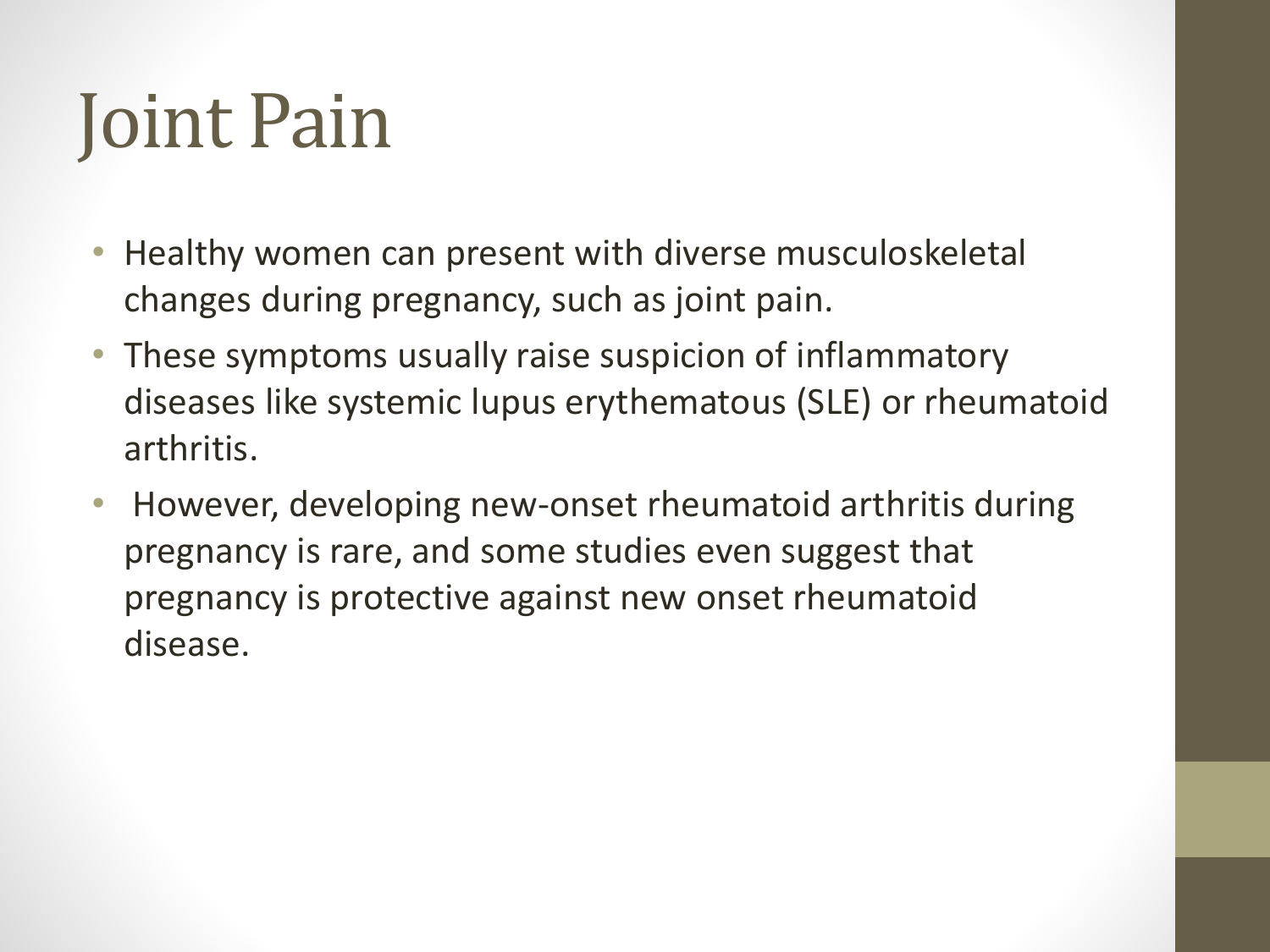## Joint Pain

- Healthy women can present with diverse musculoskeletal changes during pregnancy, such as joint pain.
- These symptoms usually raise suspicion of inflammatory diseases like systemic lupus erythematous (SLE) or rheumatoid arthritis.
- However, developing new-onset rheumatoid arthritis during pregnancy is rare, and some studies even suggest that pregnancy is protective against new onset rheumatoid disease.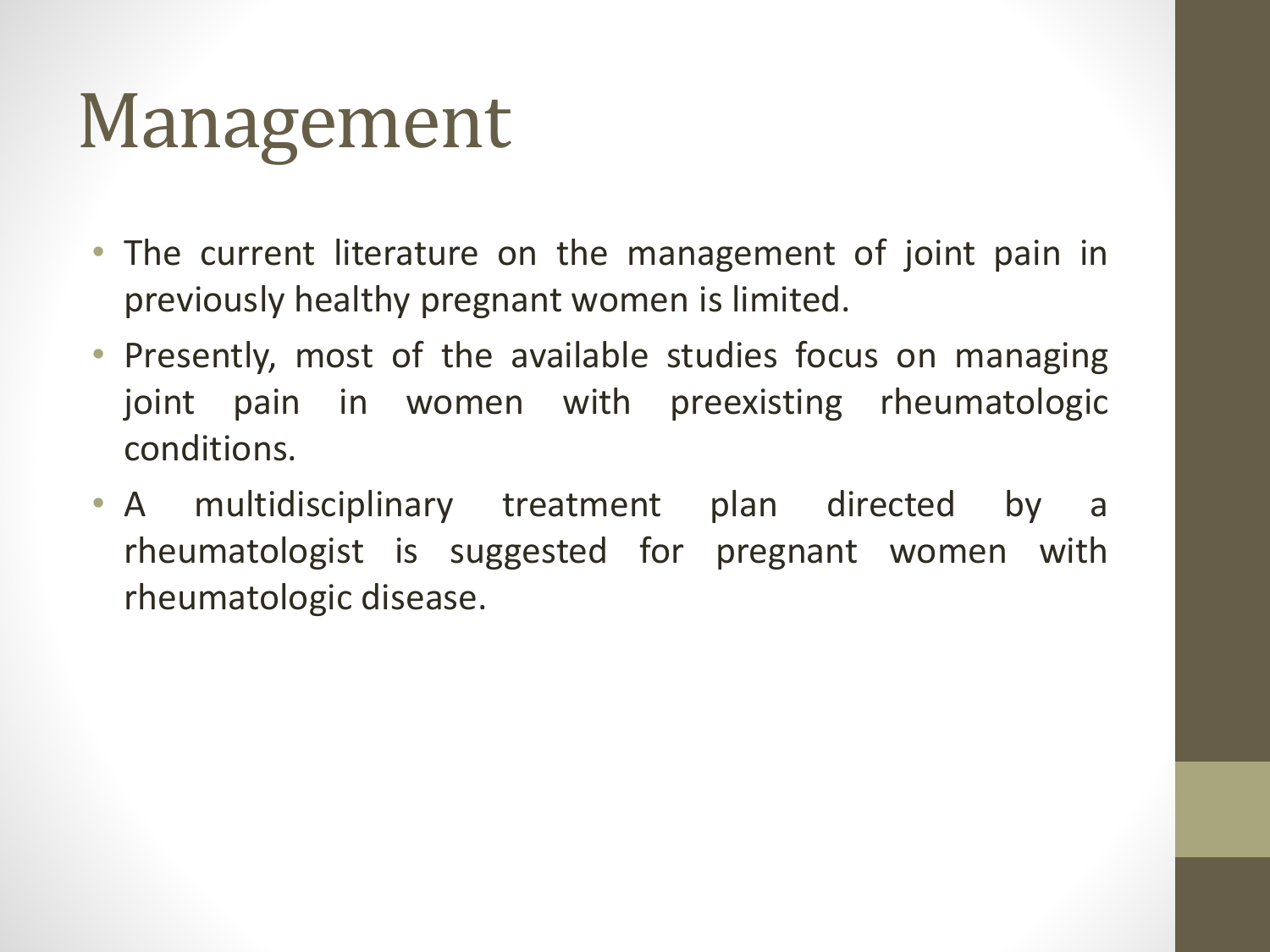- The current literature on the management of joint pain in previously healthy pregnant women is limited.
- Presently, most of the available studies focus on managing joint pain in women with preexisting rheumatologic conditions.
- A multidisciplinary treatment plan directed by a rheumatologist is suggested for pregnant women with rheumatologic disease.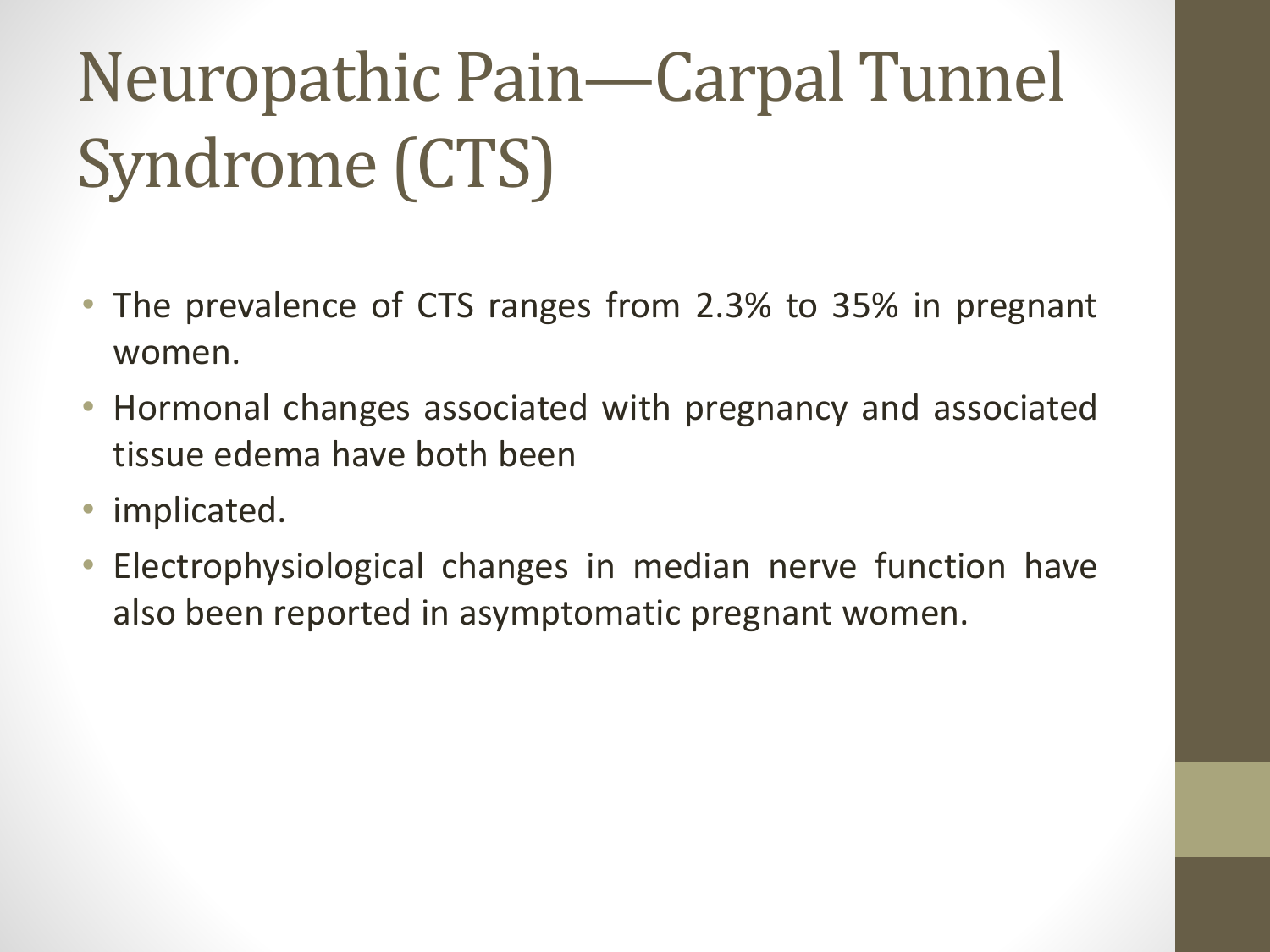### Neuropathic Pain—Carpal Tunnel Syndrome (CTS)

- The prevalence of CTS ranges from 2.3% to 35% in pregnant women.
- Hormonal changes associated with pregnancy and associated tissue edema have both been
- implicated.
- Electrophysiological changes in median nerve function have also been reported in asymptomatic pregnant women.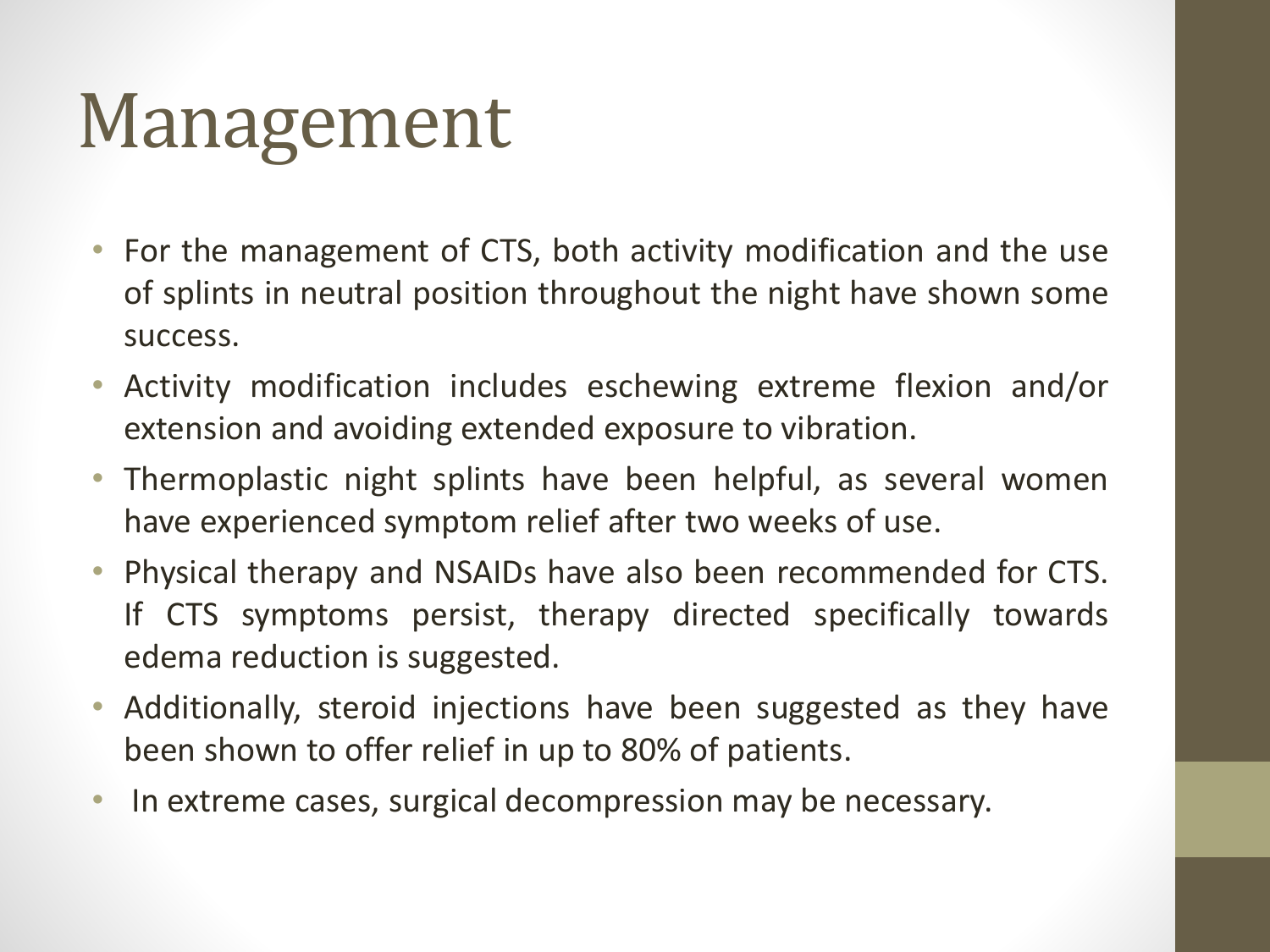- For the management of CTS, both activity modification and the use of splints in neutral position throughout the night have shown some success.
- Activity modification includes eschewing extreme flexion and/or extension and avoiding extended exposure to vibration.
- Thermoplastic night splints have been helpful, as several women have experienced symptom relief after two weeks of use.
- Physical therapy and NSAIDs have also been recommended for CTS. If CTS symptoms persist, therapy directed specifically towards edema reduction is suggested.
- Additionally, steroid injections have been suggested as they have been shown to offer relief in up to 80% of patients.
- In extreme cases, surgical decompression may be necessary.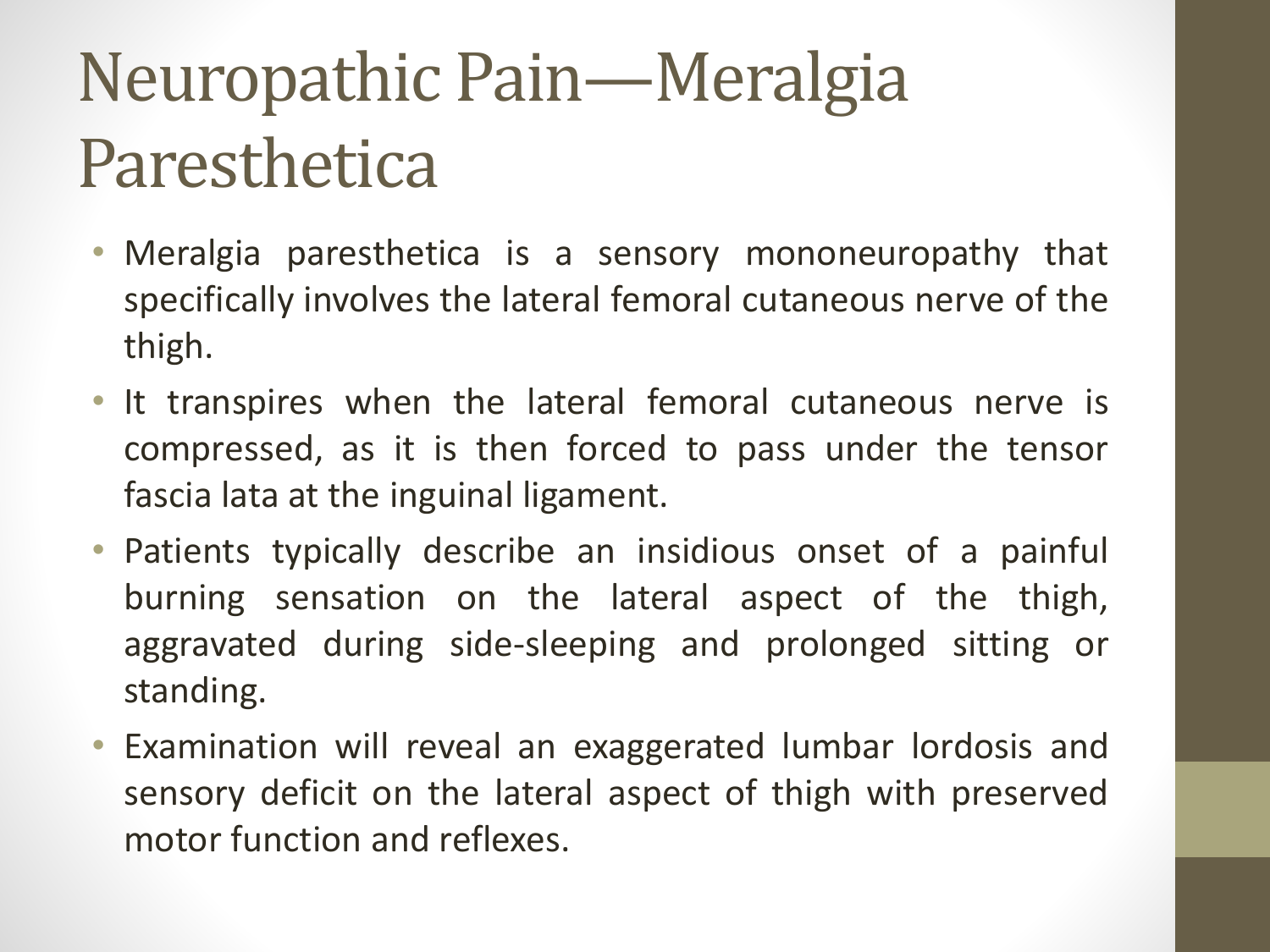#### Neuropathic Pain—Meralgia Paresthetica

- Meralgia paresthetica is a sensory mononeuropathy that specifically involves the lateral femoral cutaneous nerve of the thigh.
- It transpires when the lateral femoral cutaneous nerve is compressed, as it is then forced to pass under the tensor fascia lata at the inguinal ligament.
- Patients typically describe an insidious onset of a painful burning sensation on the lateral aspect of the thigh, aggravated during side-sleeping and prolonged sitting or standing.
- Examination will reveal an exaggerated lumbar lordosis and sensory deficit on the lateral aspect of thigh with preserved motor function and reflexes.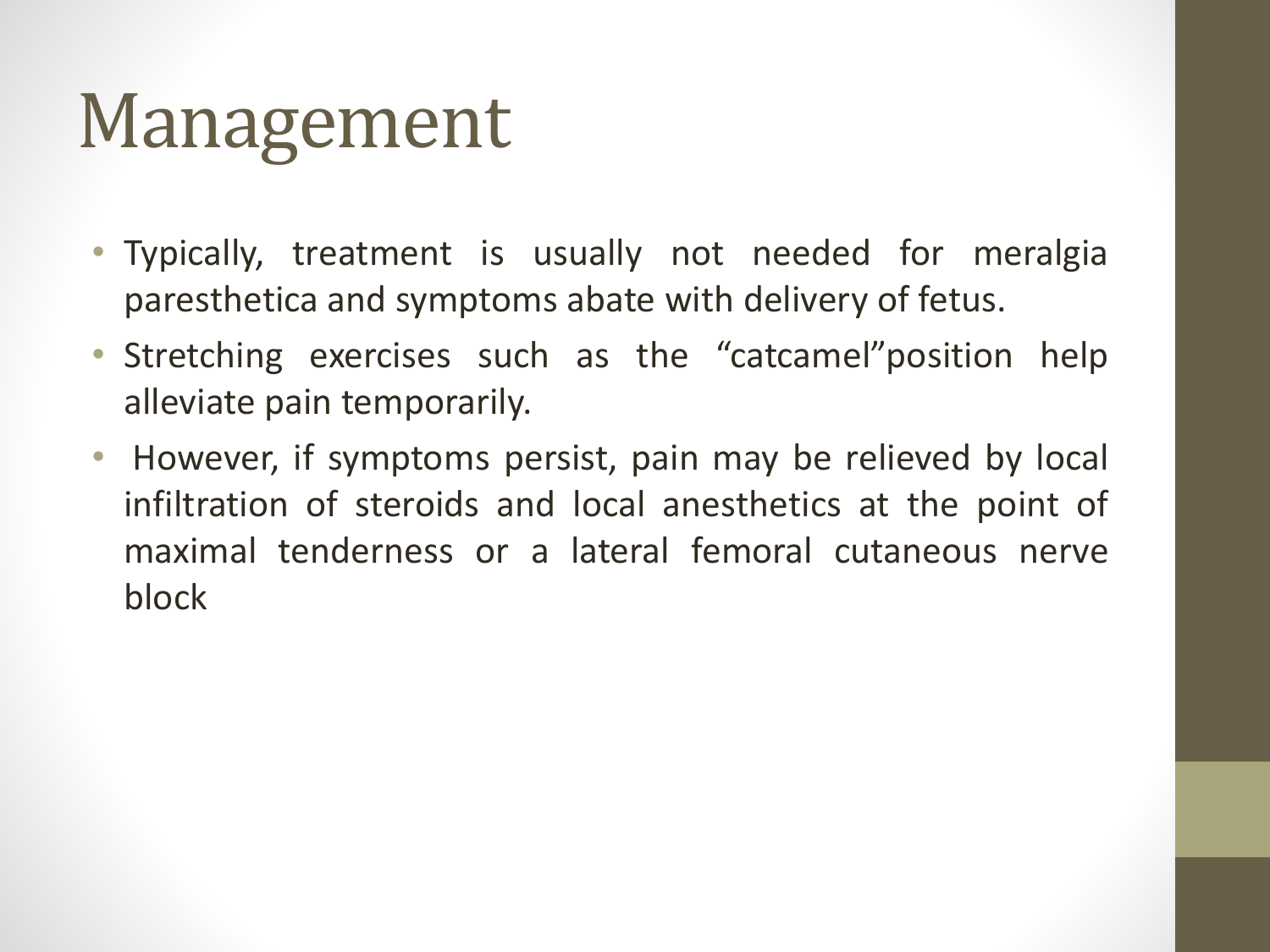- Typically, treatment is usually not needed for meralgia paresthetica and symptoms abate with delivery of fetus.
- Stretching exercises such as the "catcamel"position help alleviate pain temporarily.
- However, if symptoms persist, pain may be relieved by local infiltration of steroids and local anesthetics at the point of maximal tenderness or a lateral femoral cutaneous nerve block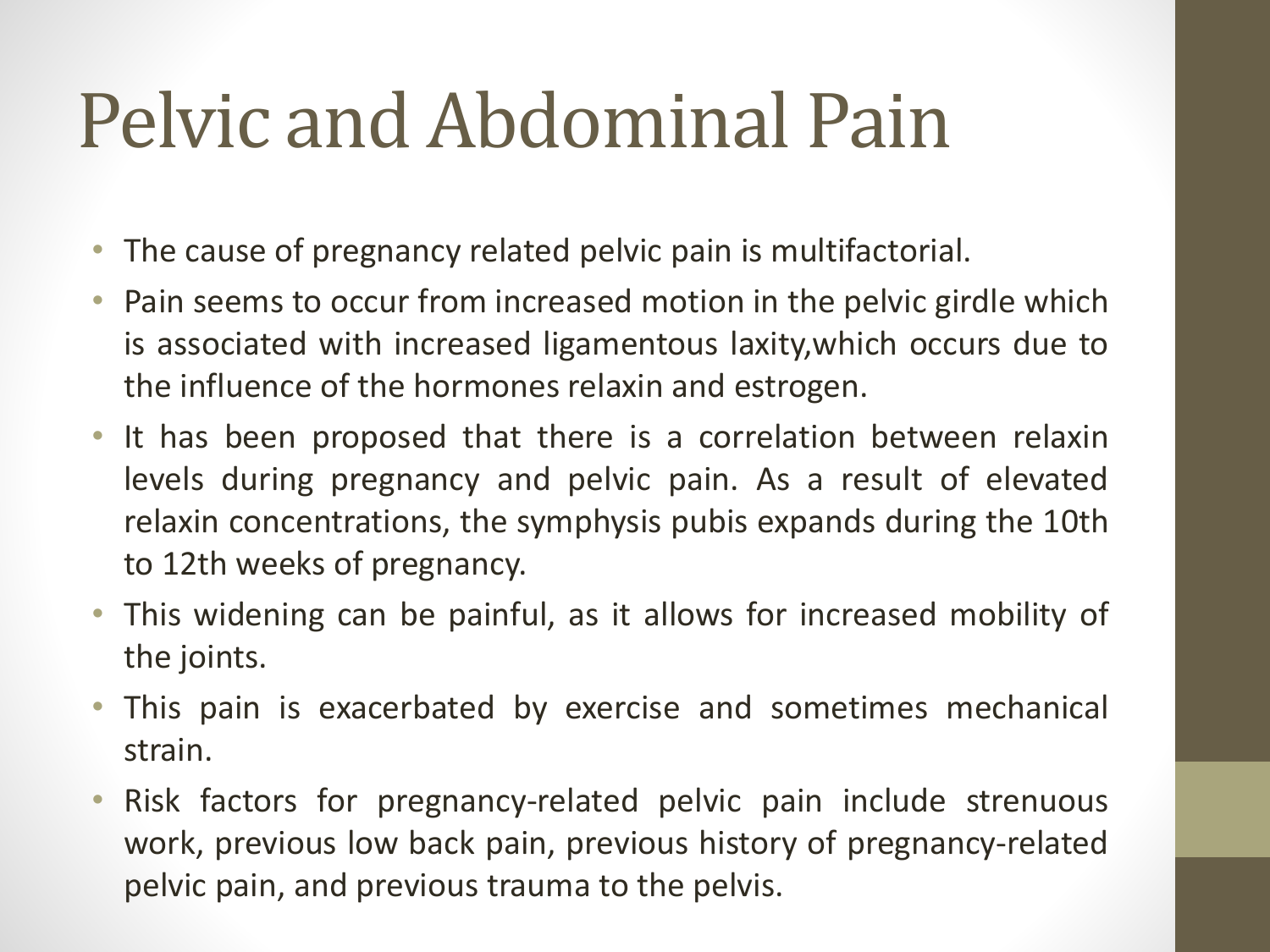### Pelvic and Abdominal Pain

- The cause of pregnancy related pelvic pain is multifactorial.
- Pain seems to occur from increased motion in the pelvic girdle which is associated with increased ligamentous laxity,which occurs due to the influence of the hormones relaxin and estrogen.
- It has been proposed that there is a correlation between relaxin levels during pregnancy and pelvic pain. As a result of elevated relaxin concentrations, the symphysis pubis expands during the 10th to 12th weeks of pregnancy.
- This widening can be painful, as it allows for increased mobility of the joints.
- This pain is exacerbated by exercise and sometimes mechanical strain.
- Risk factors for pregnancy-related pelvic pain include strenuous work, previous low back pain, previous history of pregnancy-related pelvic pain, and previous trauma to the pelvis.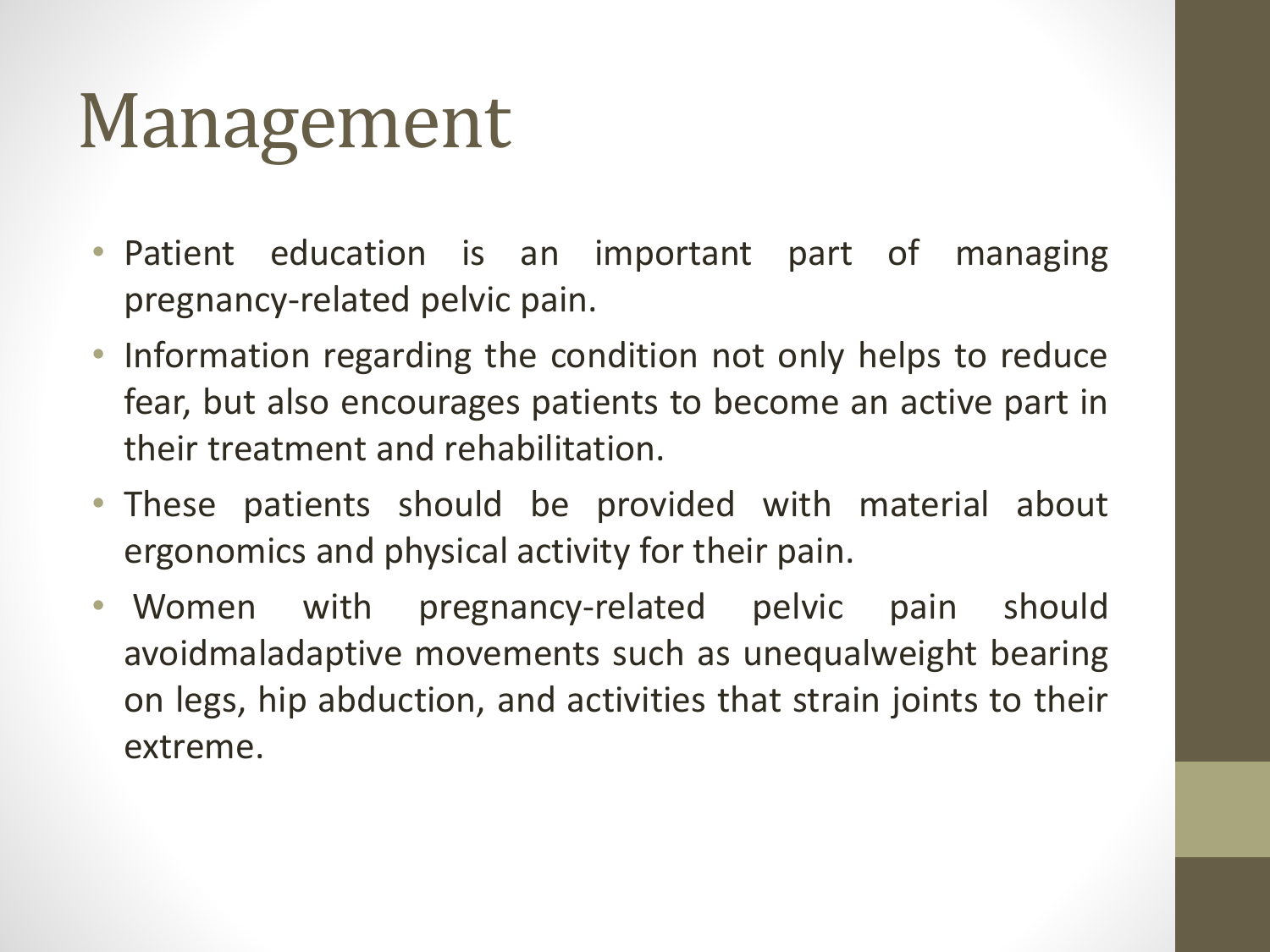- Patient education is an important part of managing pregnancy-related pelvic pain.
- Information regarding the condition not only helps to reduce fear, but also encourages patients to become an active part in their treatment and rehabilitation.
- These patients should be provided with material about ergonomics and physical activity for their pain.
- Women with pregnancy-related pelvic pain should avoidmaladaptive movements such as unequalweight bearing on legs, hip abduction, and activities that strain joints to their extreme.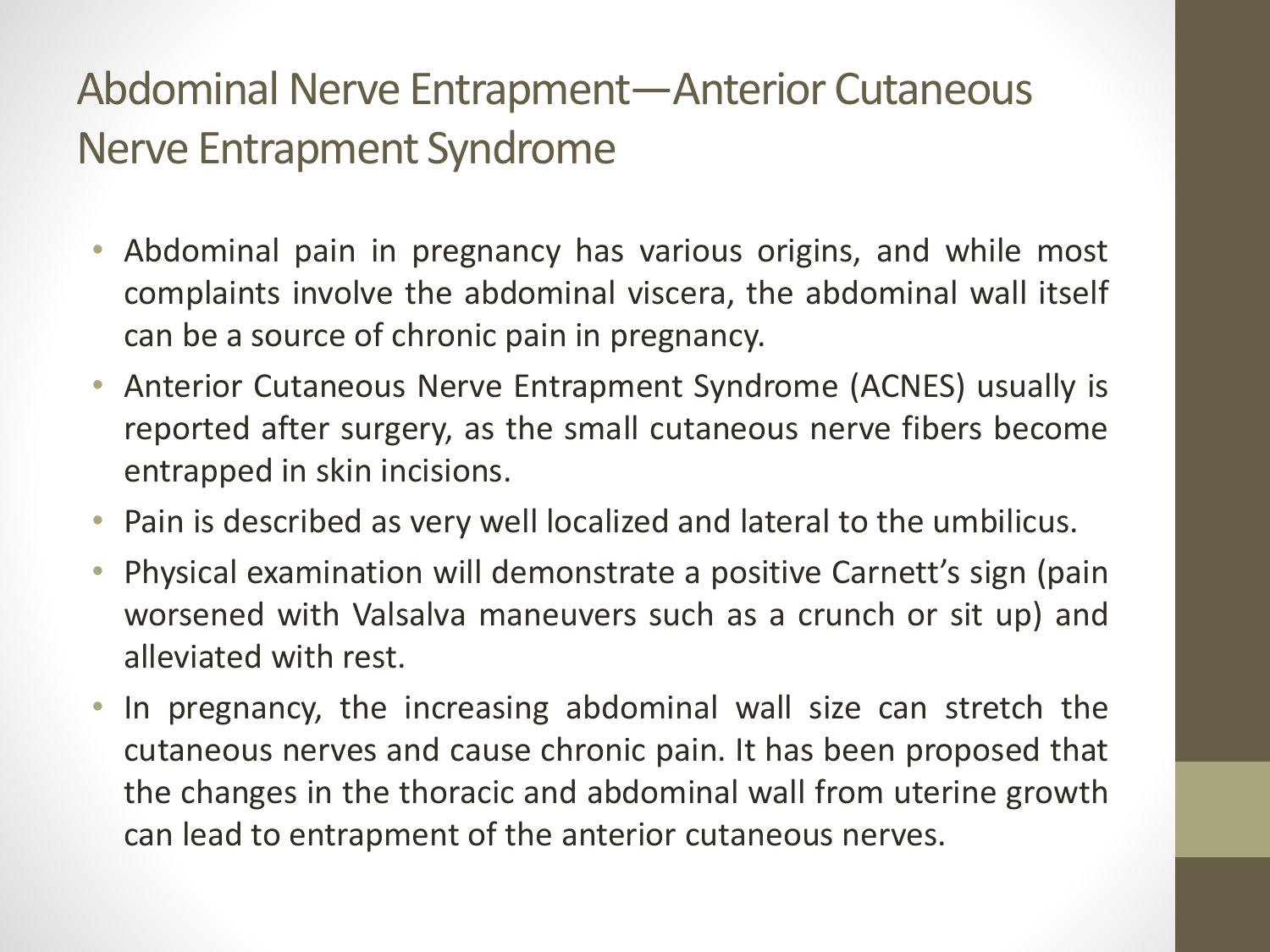#### Abdominal Nerve Entrapment—Anterior Cutaneous Nerve Entrapment Syndrome

- Abdominal pain in pregnancy has various origins, and while most complaints involve the abdominal viscera, the abdominal wall itself can be a source of chronic pain in pregnancy.
- Anterior Cutaneous Nerve Entrapment Syndrome (ACNES) usually is reported after surgery, as the small cutaneous nerve fibers become entrapped in skin incisions.
- Pain is described as very well localized and lateral to the umbilicus.
- Physical examination will demonstrate a positive Carnett's sign (pain worsened with Valsalva maneuvers such as a crunch or sit up) and alleviated with rest.
- In pregnancy, the increasing abdominal wall size can stretch the cutaneous nerves and cause chronic pain. It has been proposed that the changes in the thoracic and abdominal wall from uterine growth can lead to entrapment of the anterior cutaneous nerves.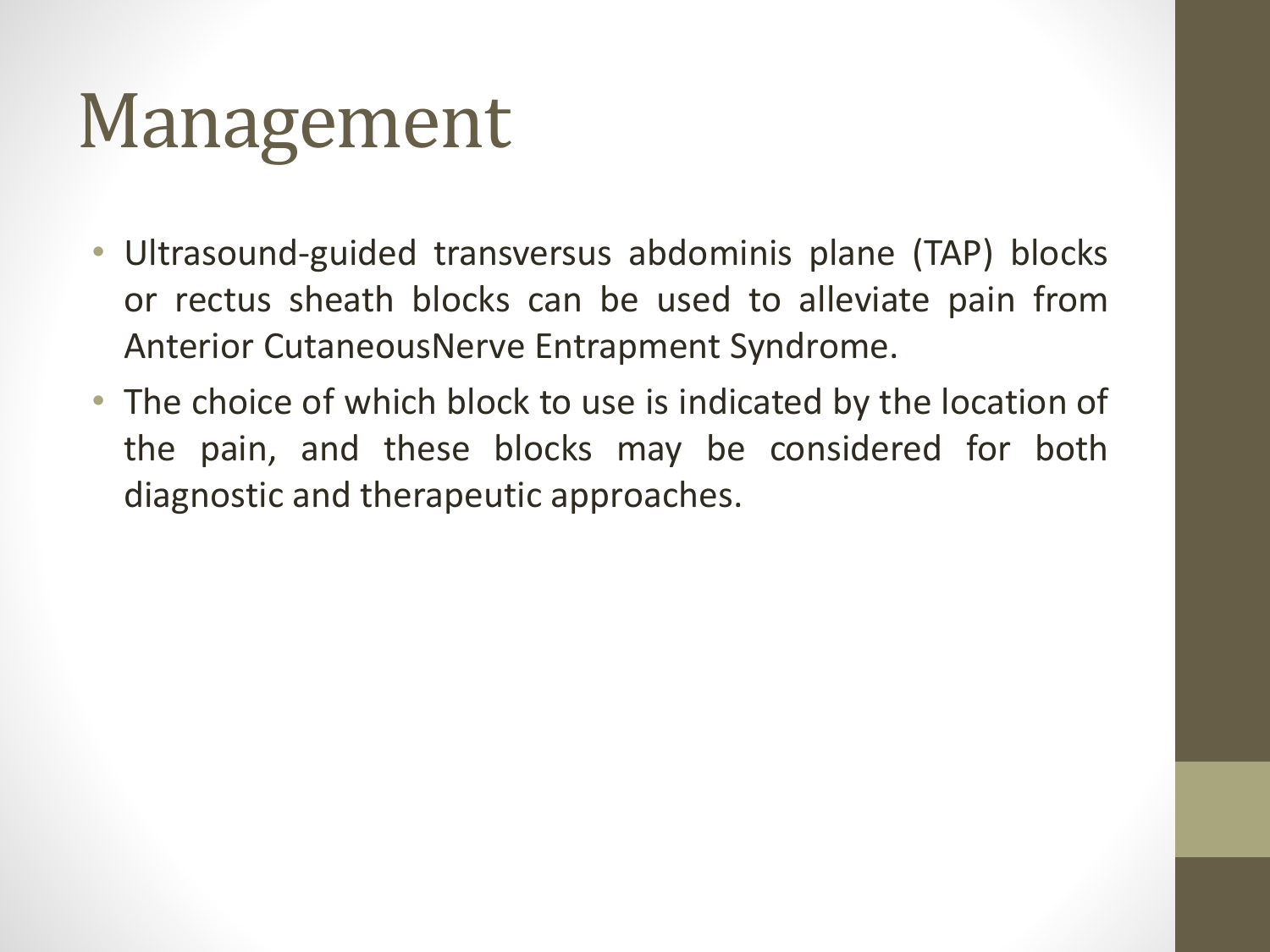- Ultrasound-guided transversus abdominis plane (TAP) blocks or rectus sheath blocks can be used to alleviate pain from Anterior CutaneousNerve Entrapment Syndrome.
- The choice of which block to use is indicated by the location of the pain, and these blocks may be considered for both diagnostic and therapeutic approaches.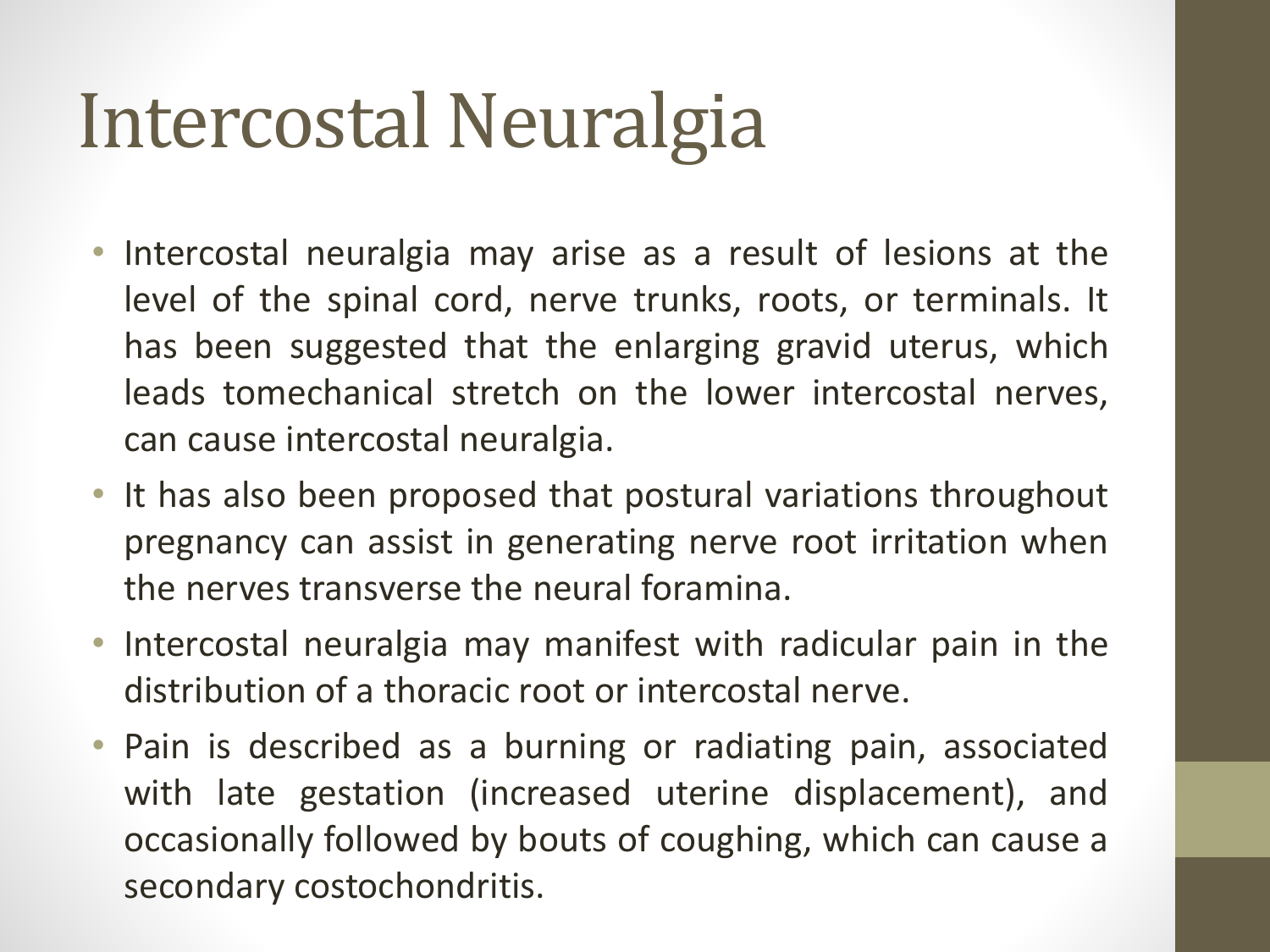### Intercostal Neuralgia

- Intercostal neuralgia may arise as a result of lesions at the level of the spinal cord, nerve trunks, roots, or terminals. It has been suggested that the enlarging gravid uterus, which leads tomechanical stretch on the lower intercostal nerves, can cause intercostal neuralgia.
- It has also been proposed that postural variations throughout pregnancy can assist in generating nerve root irritation when the nerves transverse the neural foramina.
- Intercostal neuralgia may manifest with radicular pain in the distribution of a thoracic root or intercostal nerve.
- Pain is described as a burning or radiating pain, associated with late gestation (increased uterine displacement), and occasionally followed by bouts of coughing, which can cause a secondary costochondritis.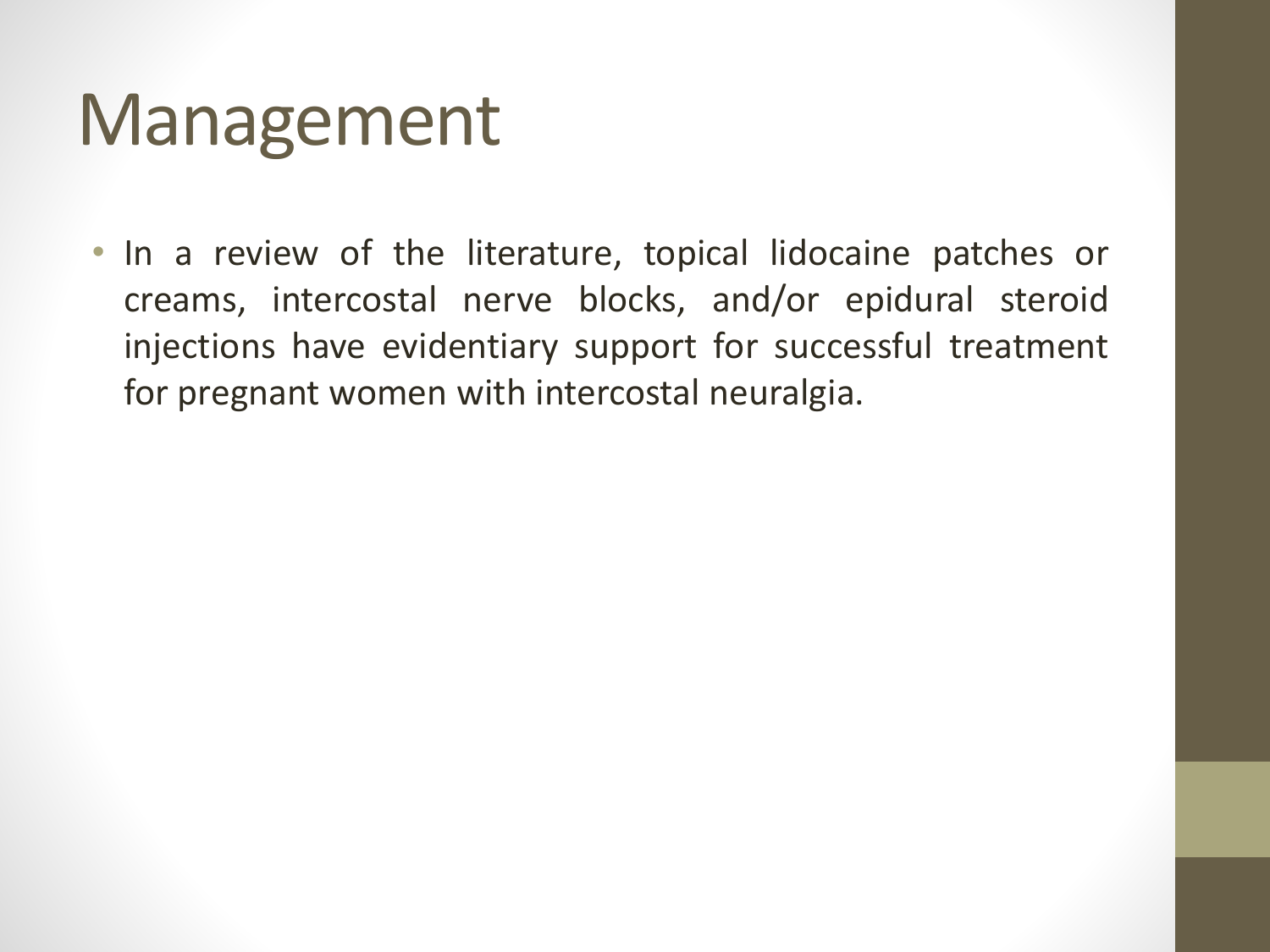• In a review of the literature, topical lidocaine patches or creams, intercostal nerve blocks, and/or epidural steroid injections have evidentiary support for successful treatment for pregnant women with intercostal neuralgia.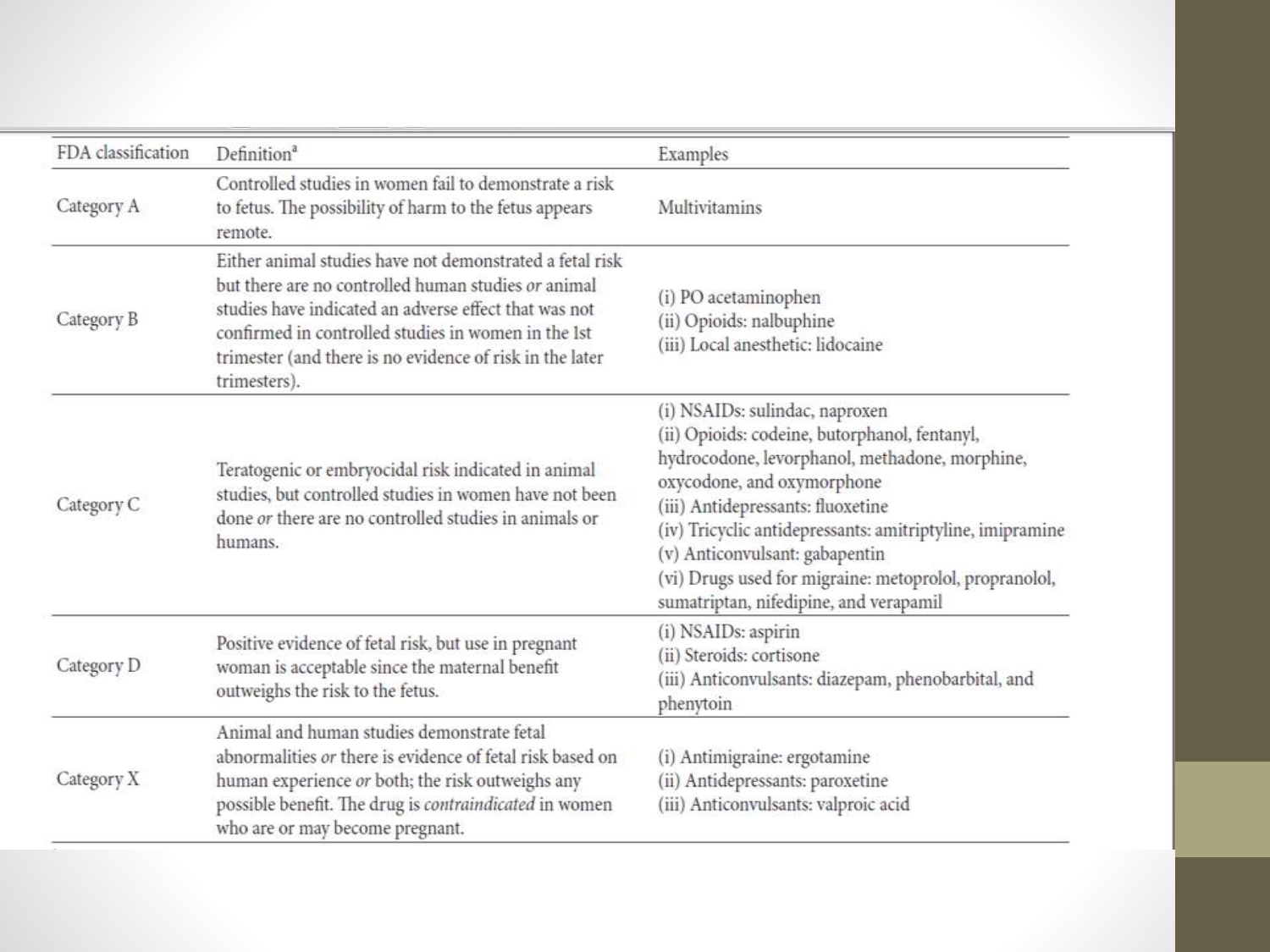| FDA classification | Definition <sup>a</sup>                                                                                                                                                                                                                                                                                     | Examples                                                                                                                                                                                                                                                                                                                                                                                                |
|--------------------|-------------------------------------------------------------------------------------------------------------------------------------------------------------------------------------------------------------------------------------------------------------------------------------------------------------|---------------------------------------------------------------------------------------------------------------------------------------------------------------------------------------------------------------------------------------------------------------------------------------------------------------------------------------------------------------------------------------------------------|
| Category A         | Controlled studies in women fail to demonstrate a risk<br>to fetus. The possibility of harm to the fetus appears<br>remote.                                                                                                                                                                                 | Multivitamins                                                                                                                                                                                                                                                                                                                                                                                           |
| Category B         | Either animal studies have not demonstrated a fetal risk<br>but there are no controlled human studies or animal<br>studies have indicated an adverse effect that was not<br>confirmed in controlled studies in women in the 1st<br>trimester (and there is no evidence of risk in the later<br>trimesters). | (i) PO acetaminophen<br>(ii) Opioids: nalbuphine<br>(iii) Local anesthetic: lidocaine                                                                                                                                                                                                                                                                                                                   |
| Category C         | Teratogenic or embryocidal risk indicated in animal<br>studies, but controlled studies in women have not been<br>done or there are no controlled studies in animals or<br>humans.                                                                                                                           | (i) NSAIDs: sulindac, naproxen<br>(ii) Opioids: codeine, butorphanol, fentanyl,<br>hydrocodone, levorphanol, methadone, morphine,<br>oxycodone, and oxymorphone<br>(iii) Antidepressants: fluoxetine<br>(iv) Tricyclic antidepressants: amitriptyline, imipramine<br>(v) Anticonvulsant: gabapentin<br>(vi) Drugs used for migraine: metoprolol, propranolol,<br>sumatriptan, nifedipine, and verapamil |
| Category D         | Positive evidence of fetal risk, but use in pregnant<br>woman is acceptable since the maternal benefit<br>outweighs the risk to the fetus.                                                                                                                                                                  | (i) NSAIDs: aspirin<br>(ii) Steroids: cortisone<br>(iii) Anticonvulsants: diazepam, phenobarbital, and<br>phenytoin                                                                                                                                                                                                                                                                                     |
| Category X         | Animal and human studies demonstrate fetal<br>abnormalities or there is evidence of fetal risk based on<br>human experience or both; the risk outweighs any<br>possible benefit. The drug is contraindicated in women<br>who are or may become pregnant.                                                    | (i) Antimigraine: ergotamine<br>(ii) Antidepressants: paroxetine<br>(iii) Anticonvulsants: valproic acid                                                                                                                                                                                                                                                                                                |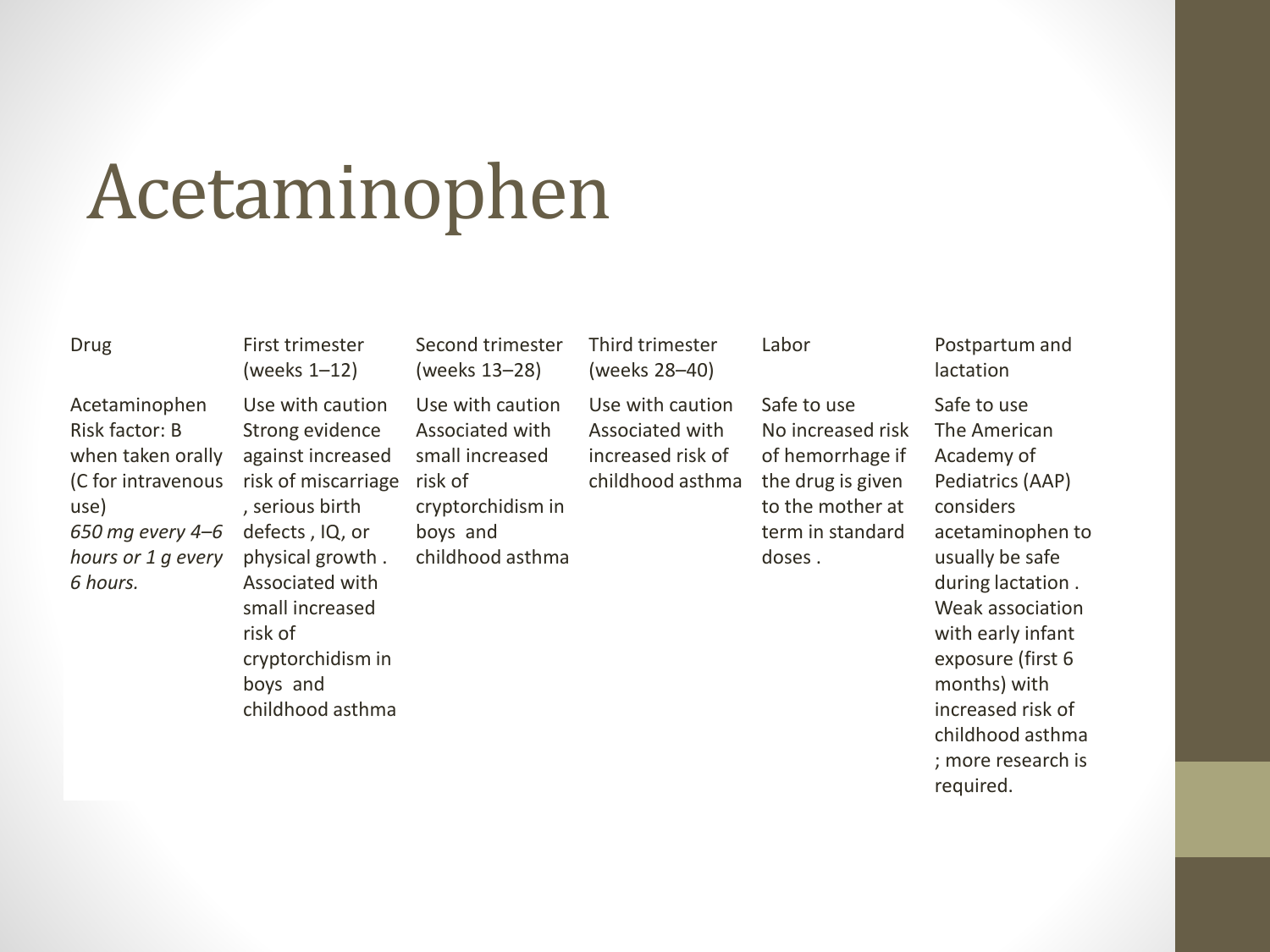#### Acetaminophen

#### Drug First trimester

Acetaminophen Risk factor: B when taken orally (C for intravenous use) *650 mg every 4–6 hours or 1 g every 6 hours.*

(weeks 1–12) Use with caution Strong evidence against increased risk of miscarriage risk of , serious birth defects , IQ, or physical growth . Associated with small increased risk of cryptorchidism in boys and childhood asthma

Second trimester (weeks 13–28) Use with caution Associated with small increased cryptorchidism in boys and childhood asthma Third trimester (weeks 28–40)

Use with caution Associated with increased risk of childhood asthma

Safe to use No increased risk of hemorrhage if the drug is given to the mother at term in standard doses .

#### Labor Postpartum and lactation

Safe to use The American Academy of Pediatrics (AAP) considers acetaminophen to usually be safe during lactation . Weak association with early infant exposure (first 6 months) with increased risk of childhood asthma ; more research is required.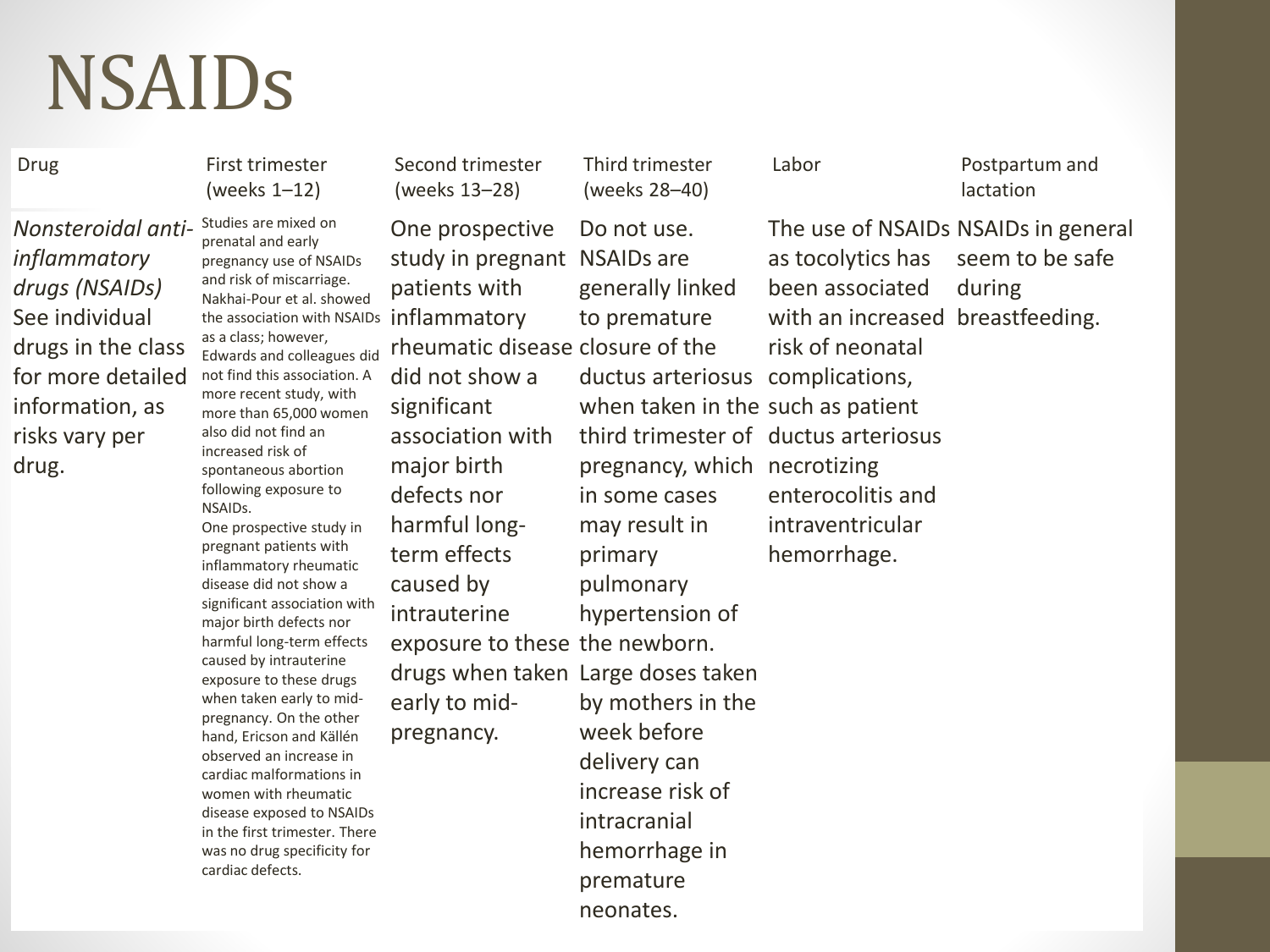#### NSAIDs

*Nonsteroidal antiinflammatory drugs (NSAIDs)* See individual drugs in the class for more detailed information, as risks vary per drug.

Studies are mixed on prenatal and early pregnancy use of NSAIDs and risk of miscarriage. Nakhai-Pour et al. showed the association with NSAIDs inflammatory as a class; however, Edwards and colleagues did not find this association. A more recent study, with more than 65,000 women also did not find an increased risk of spontaneous abortion following exposure to NSAIDs. One prospective study in pregnant patients with inflammatory rheumatic disease did not show a significant association with major birth defects nor harmful long-term effects caused by intrauterine exposure to these drugs when taken early to midpregnancy. On the other hand, Ericson and Källén observed an increase in cardiac malformations in women with rheumatic disease exposed to NSAIDs in the first trimester. There was no drug specificity for cardiac defects. Drug First trimester (weeks 1–12)

Second trimester (weeks 13–28)

One prospective patients with did not show a significant association with major birth defects nor harmful longterm effects caused by intrauterine early to midpregnancy.

study in pregnant NSAIDs are rheumatic disease closure of the exposure to these the newborn. drugs when taken Large doses taken Do not use. generally linked to premature ductus arteriosus complications, when taken in the such as patient third trimester of ductus arteriosus pregnancy, which necrotizing in some cases may result in primary pulmonary hypertension of by mothers in the week before delivery can increase risk of intracranial hemorrhage in premature neonates.

Third trimester (weeks 28–40)

Labor Postpartum and lactation

The use of NSAIDs NSAIDs in general as tocolytics has been associated with an increased breastfeeding. risk of neonatal enterocolitis and intraventricular hemorrhage. seem to be safe during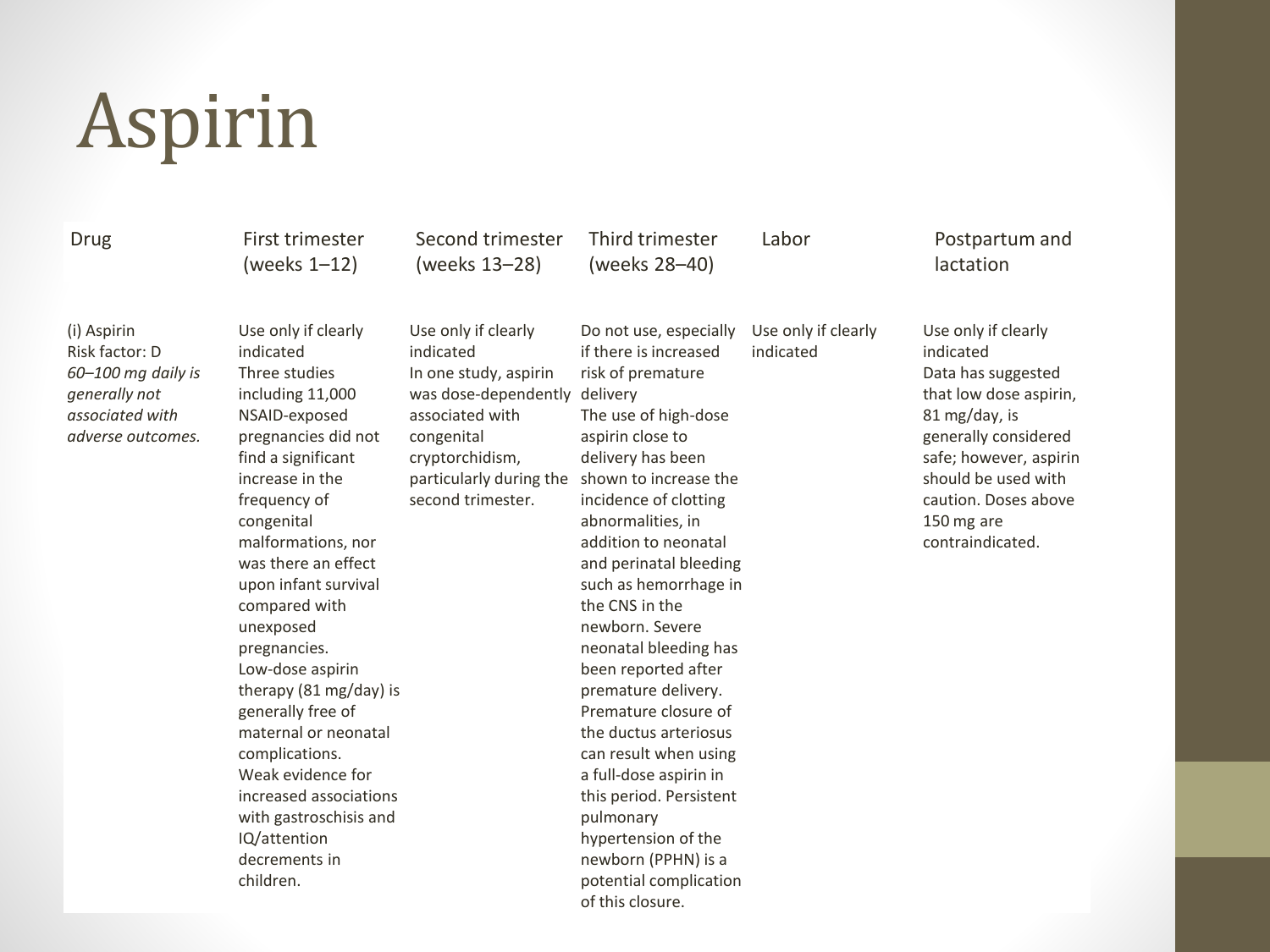# Aspirin

#### Drug First trimester

(i) Aspirin Risk factor: D *60–100 mg daily is generally not associated with adverse outcomes.*

Use only if clearly indicated Three studies including 11,000 NSAID-exposed pregnancies did not find a significant increase in the frequency of congenital malformations, nor was there an effect upon infant survival compared with unexposed pregnancies. Low-dose aspirin therapy (81 mg/day) is generally free of maternal or neonatal complications. Weak evidence for increased associations with gastroschisis and IQ/attention decrements in children.

(weeks 1–12)

Second trimester (weeks 13–28)

Third trimester (weeks 28–40)

Use only if clearly

#### Labor Postpartum and lactation

Use only if clearly indicated In one study, aspirin was dose-dependently delivery associated with congenital cryptorchidism, particularly during the shown to increase the second trimester. Do not use, especially

if there is increased risk of premature The use of high-dose aspirin close to delivery has been incidence of clotting abnormalities, in addition to neonatal and perinatal bleeding such as hemorrhage in the CNS in the newborn. Severe neonatal bleeding has been reported after premature delivery. Premature closure of the ductus arteriosus can result when using a full-dose aspirin in this period. Persistent pulmonary hypertension of the newborn (PPHN) is a potential complication of this closure. indicated Use only if clearly indicated Data has suggested that low dose aspirin, 81 mg/day, is generally considered safe; however, aspirin should be used with caution. Doses above 150 mg are contraindicated.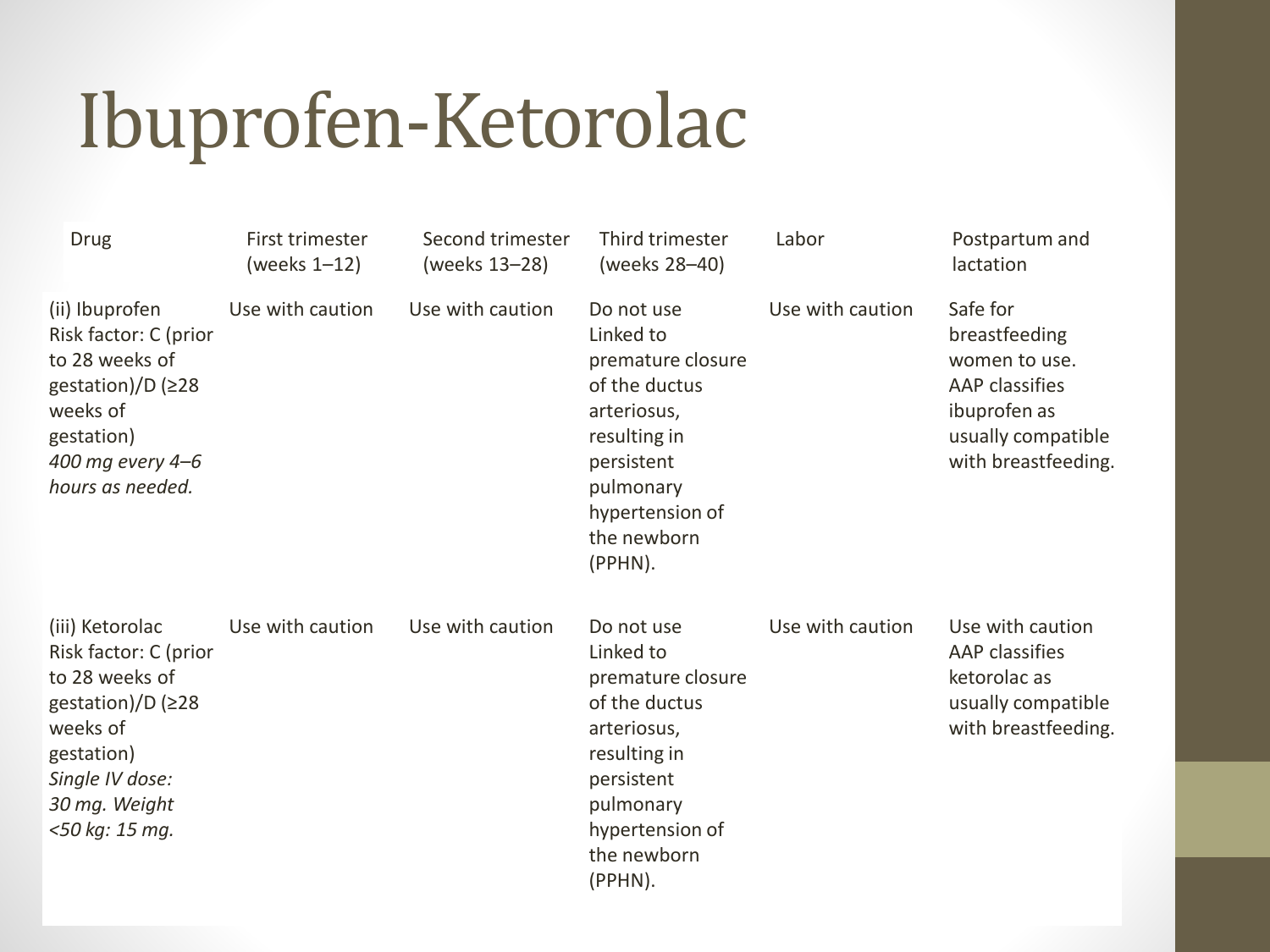### Ibuprofen-Ketorolac

| Drug                                                                                                                                                                   | First trimester<br>(weeks 1-12) | Second trimester<br>(weeks 13-28) | Third trimester<br>(weeks 28-40)                                                                                                                                     | Labor            | Postpartum and<br>lactation                                                                                               |
|------------------------------------------------------------------------------------------------------------------------------------------------------------------------|---------------------------------|-----------------------------------|----------------------------------------------------------------------------------------------------------------------------------------------------------------------|------------------|---------------------------------------------------------------------------------------------------------------------------|
| (ii) Ibuprofen<br>Risk factor: C (prior<br>to 28 weeks of<br>gestation)/D (≥28<br>weeks of<br>gestation)<br>400 mg every 4-6<br>hours as needed.                       | Use with caution                | Use with caution                  | Do not use<br>Linked to<br>premature closure<br>of the ductus<br>arteriosus,<br>resulting in<br>persistent<br>pulmonary<br>hypertension of<br>the newborn<br>(PPHN). | Use with caution | Safe for<br>breastfeeding<br>women to use.<br>AAP classifies<br>ibuprofen as<br>usually compatible<br>with breastfeeding. |
| (iii) Ketorolac<br>Risk factor: C (prior<br>to 28 weeks of<br>gestation)/D ( $\geq$ 28<br>weeks of<br>gestation)<br>Single IV dose:<br>30 mg. Weight<br><50 kg: 15 mg. | Use with caution                | Use with caution                  | Do not use<br>Linked to<br>premature closure<br>of the ductus<br>arteriosus,<br>resulting in<br>persistent<br>pulmonary<br>hypertension of<br>the newborn<br>(PPHN). | Use with caution | Use with caution<br>AAP classifies<br>ketorolac as<br>usually compatible<br>with breastfeeding.                           |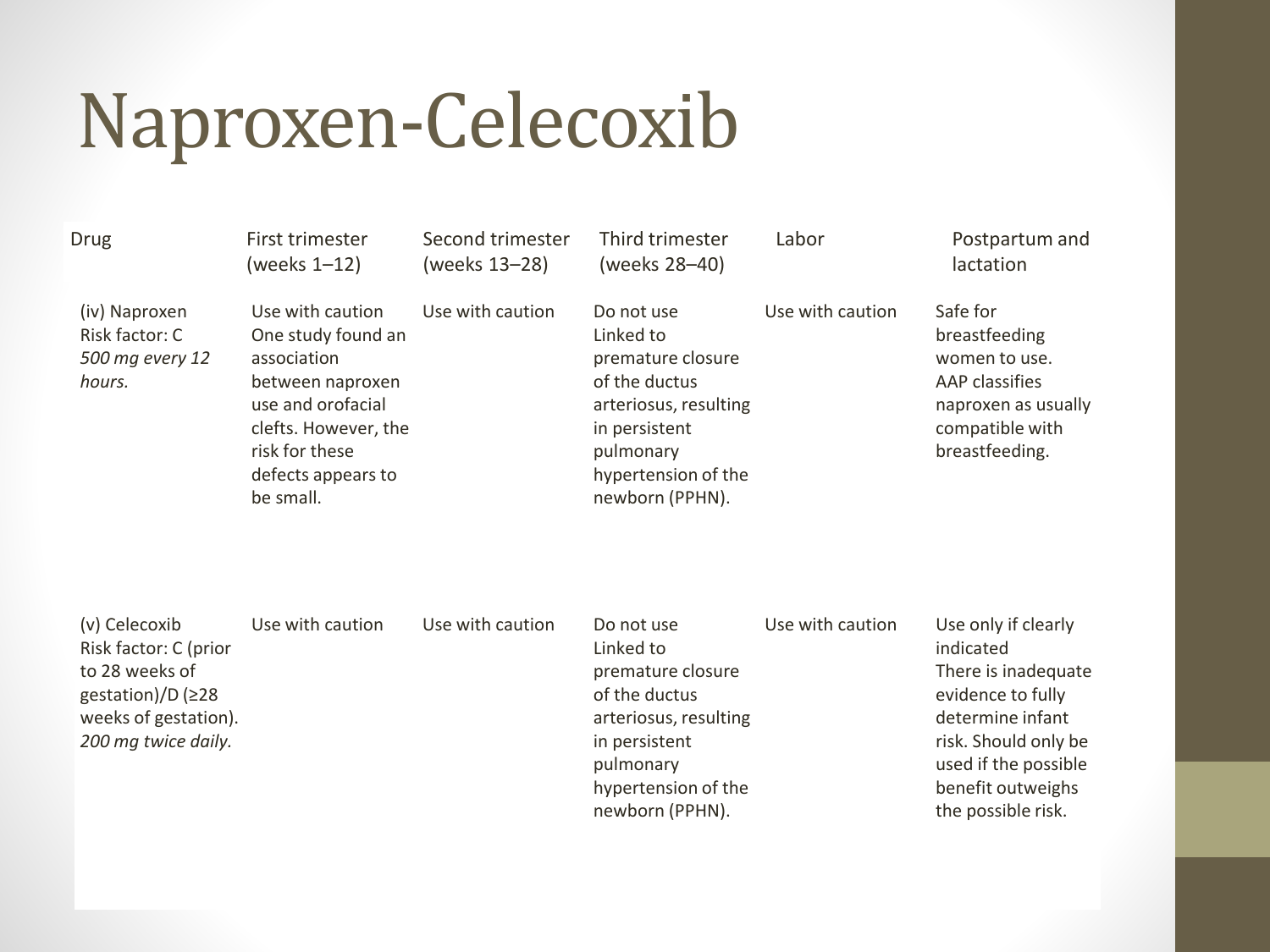#### Naproxen-Celecoxib

| <b>Drug</b>                                                  | First trimester<br>(weeks 1-12)                                                                                                                                             | Second trimester<br>(weeks 13-28) | Third trimester<br>(weeks 28-40)                                                                                                                               | Labor            | Postpartum and<br>lactation                                                                                              |
|--------------------------------------------------------------|-----------------------------------------------------------------------------------------------------------------------------------------------------------------------------|-----------------------------------|----------------------------------------------------------------------------------------------------------------------------------------------------------------|------------------|--------------------------------------------------------------------------------------------------------------------------|
| (iv) Naproxen<br>Risk factor: C<br>500 mg every 12<br>hours. | Use with caution<br>One study found an<br>association<br>between naproxen<br>use and orofacial<br>clefts. However, the<br>risk for these<br>defects appears to<br>be small. | Use with caution                  | Do not use<br>Linked to<br>premature closure<br>of the ductus<br>arteriosus, resulting<br>in persistent<br>pulmonary<br>hypertension of the<br>newborn (PPHN). | Use with caution | Safe for<br>breastfeeding<br>women to use.<br>AAP classifies<br>naproxen as usually<br>compatible with<br>breastfeeding. |
| (v) Celecoxib<br>Risk factor: C (prior<br>to 28 weeks of     | Use with caution                                                                                                                                                            | Use with caution                  | Do not use<br>Linked to<br>premature closure                                                                                                                   | Use with caution | Use only if clearly<br>indicated<br>There is inadequate                                                                  |

to 28 weeks of gestation)/D (≥28 weeks of gestation). *200 mg twice daily.* premature closure of the ductus arteriosus, resulting in persistent pulmonary hypertension of the newborn (PPHN). There is inadequate evidence to fully determine infant risk. Should only be used if the possible benefit outweighs the possible risk.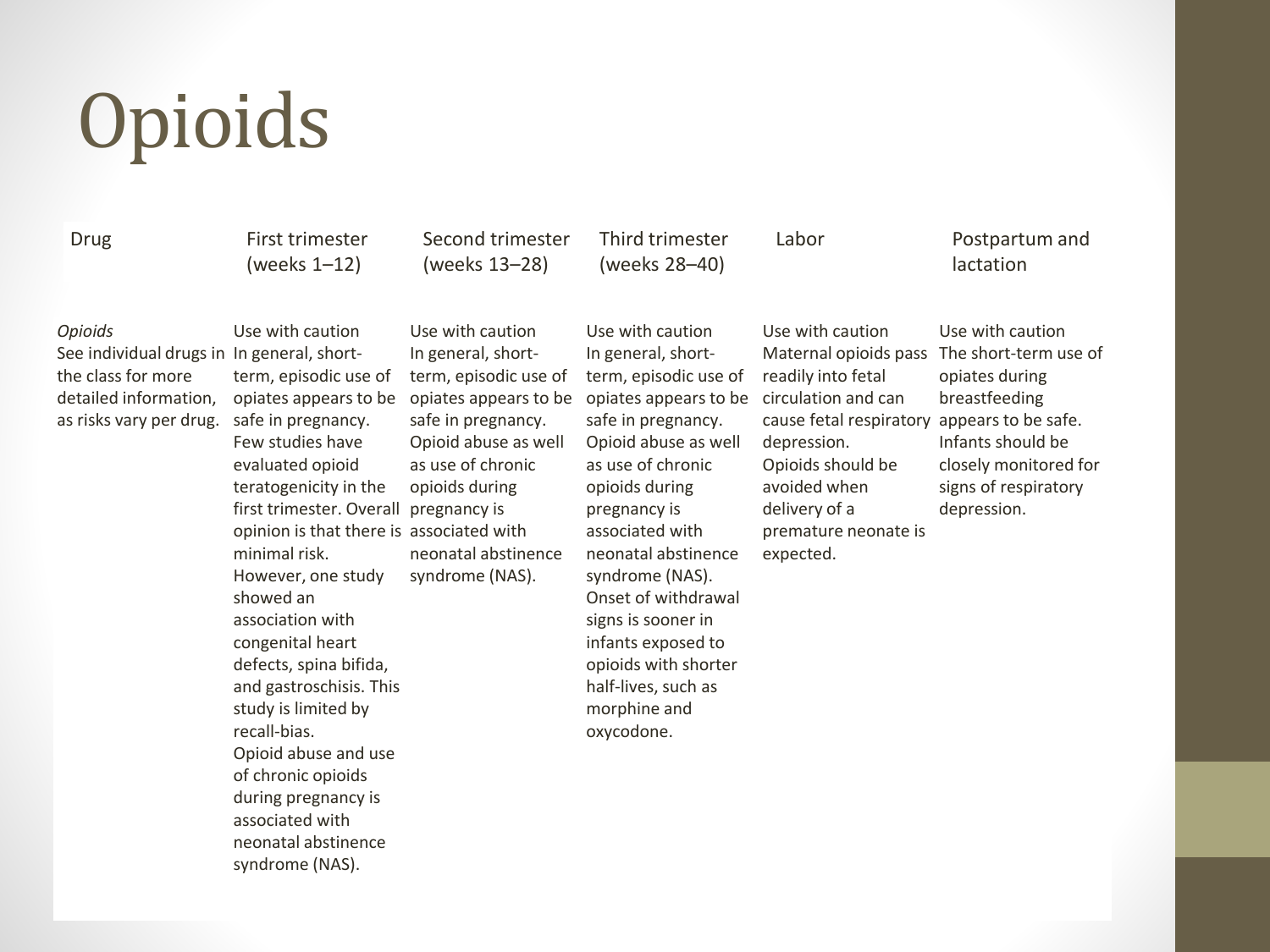# **Opioids**

Drug First trimester (weeks 1–12)

Second trimester (weeks 13–28)

Third trimester (weeks 28–40)

#### Labor Postpartum and lactation

#### *Opioids*

See individual drugs in In general, shortthe class for more detailed information, as risks vary per drug.

Use with caution term, episodic use of opiates appears to be safe in pregnancy. Few studies have evaluated opioid teratogenicity in the first trimester. Overall pregnancy is opinion is that there is associated with minimal risk. However, one study showed an association with congenital heart defects, spina bifida, and gastroschisis. This study is limited by recall-bias. Opioid abuse and use of chronic opioids during pregnancy is associated with neonatal abstinence syndrome (NAS).

Use with caution In general, shortterm, episodic use of opiates appears to be safe in pregnancy. Opioid abuse as well as use of chronic opioids during neonatal abstinence syndrome (NAS).

Use with caution In general, shortterm, episodic use of opiates appears to be safe in pregnancy. Opioid abuse as well as use of chronic opioids during pregnancy is associated with neonatal abstinence syndrome (NAS). Onset of withdrawal signs is sooner in infants exposed to opioids with shorter half-lives, such as morphine and oxycodone.

Use with caution Maternal opioids pass The short-term use of readily into fetal circulation and can cause fetal respiratory appears to be safe. depression. Opioids should be avoided when delivery of a premature neonate is expected.

Use with caution opiates during breastfeeding Infants should be closely monitored for signs of respiratory depression.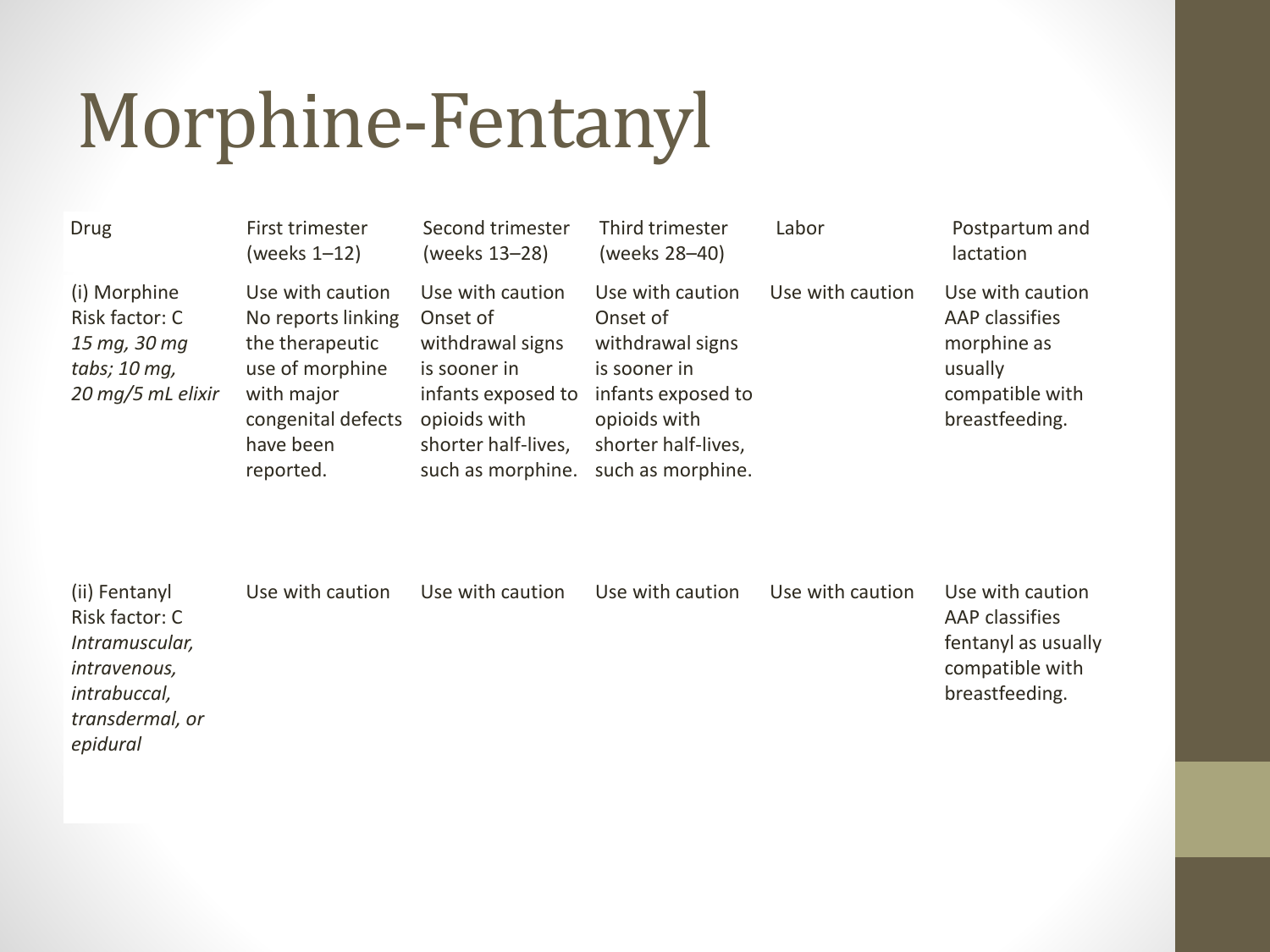### Morphine-Fentanyl

| <b>Drug</b>                                                                         | First trimester<br>(weeks 1-12)                                                                                                            | Second trimester<br>(weeks 13-28)                                                                                                                  | Third trimester<br>(weeks 28-40)                                                                                                                   | Labor            | Postpartum and<br>lactation                                                                       |
|-------------------------------------------------------------------------------------|--------------------------------------------------------------------------------------------------------------------------------------------|----------------------------------------------------------------------------------------------------------------------------------------------------|----------------------------------------------------------------------------------------------------------------------------------------------------|------------------|---------------------------------------------------------------------------------------------------|
| (i) Morphine<br>Risk factor: C<br>15 mg, 30 mg<br>tabs; 10 mg,<br>20 mg/5 mL elixir | Use with caution<br>No reports linking<br>the therapeutic<br>use of morphine<br>with major<br>congenital defects<br>have been<br>reported. | Use with caution<br>Onset of<br>withdrawal signs<br>is sooner in<br>infants exposed to<br>opioids with<br>shorter half-lives,<br>such as morphine. | Use with caution<br>Onset of<br>withdrawal signs<br>is sooner in<br>infants exposed to<br>opioids with<br>shorter half-lives,<br>such as morphine. | Use with caution | Use with caution<br>AAP classifies<br>morphine as<br>usually<br>compatible with<br>breastfeeding. |

| (ii) Fentanyl   | Use with caution | Use with caution | Use with caution | Use with caution | Use with caution    |
|-----------------|------------------|------------------|------------------|------------------|---------------------|
| Risk factor: C  |                  |                  |                  |                  | AAP classifies      |
| Intramuscular,  |                  |                  |                  |                  | fentanyl as usually |
| intravenous,    |                  |                  |                  |                  | compatible with     |
| intrabuccal,    |                  |                  |                  |                  | breastfeeding.      |
| transdermal, or |                  |                  |                  |                  |                     |
| epidural        |                  |                  |                  |                  |                     |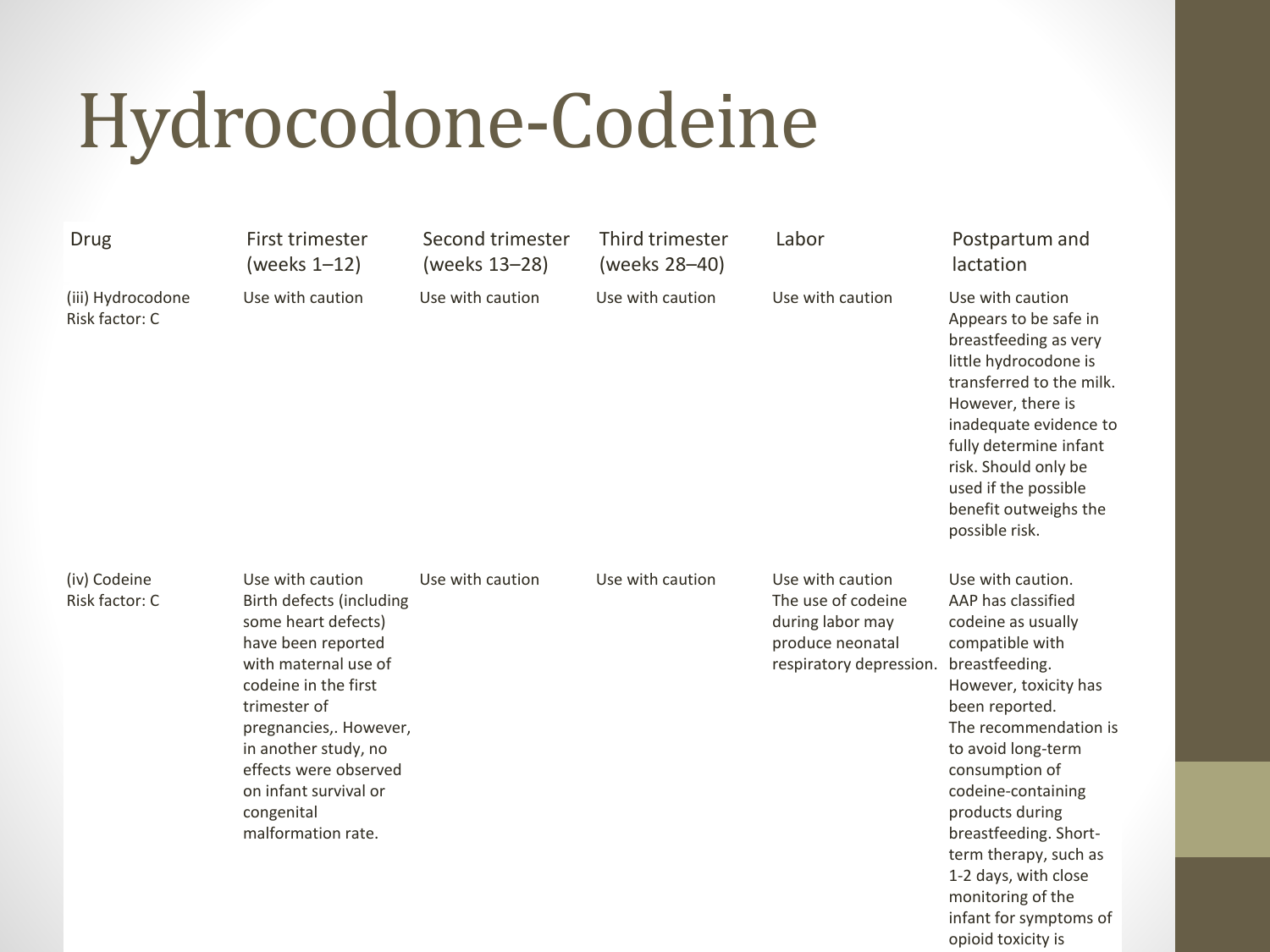### Hydrocodone-Codeine

| <b>Drug</b>                         | First trimester<br>(weeks $1-12$ )                                                                                                                                                                                                                                                                | Second trimester<br>(weeks 13-28) | Third trimester<br>(weeks 28-40) | Labor                                                                                                     | Postpartum and<br>lactation                                                                                                                                                                                                                                                                                                                                                                            |
|-------------------------------------|---------------------------------------------------------------------------------------------------------------------------------------------------------------------------------------------------------------------------------------------------------------------------------------------------|-----------------------------------|----------------------------------|-----------------------------------------------------------------------------------------------------------|--------------------------------------------------------------------------------------------------------------------------------------------------------------------------------------------------------------------------------------------------------------------------------------------------------------------------------------------------------------------------------------------------------|
| (iii) Hydrocodone<br>Risk factor: C | Use with caution                                                                                                                                                                                                                                                                                  | Use with caution                  | Use with caution                 | Use with caution                                                                                          | Use with caution<br>Appears to be safe in<br>breastfeeding as very<br>little hydrocodone is<br>transferred to the milk.<br>However, there is<br>inadequate evidence to<br>fully determine infant<br>risk. Should only be<br>used if the possible<br>benefit outweighs the<br>possible risk.                                                                                                            |
| (iv) Codeine<br>Risk factor: C      | Use with caution<br>Birth defects (including<br>some heart defects)<br>have been reported<br>with maternal use of<br>codeine in the first<br>trimester of<br>pregnancies,. However,<br>in another study, no<br>effects were observed<br>on infant survival or<br>congenital<br>malformation rate. | Use with caution                  | Use with caution                 | Use with caution<br>The use of codeine<br>during labor may<br>produce neonatal<br>respiratory depression. | Use with caution.<br>AAP has classified<br>codeine as usually<br>compatible with<br>breastfeeding.<br>However, toxicity has<br>been reported.<br>The recommendation is<br>to avoid long-term<br>consumption of<br>codeine-containing<br>products during<br>breastfeeding. Short-<br>term therapy, such as<br>1-2 days, with close<br>monitoring of the<br>infant for symptoms of<br>opioid toxicity is |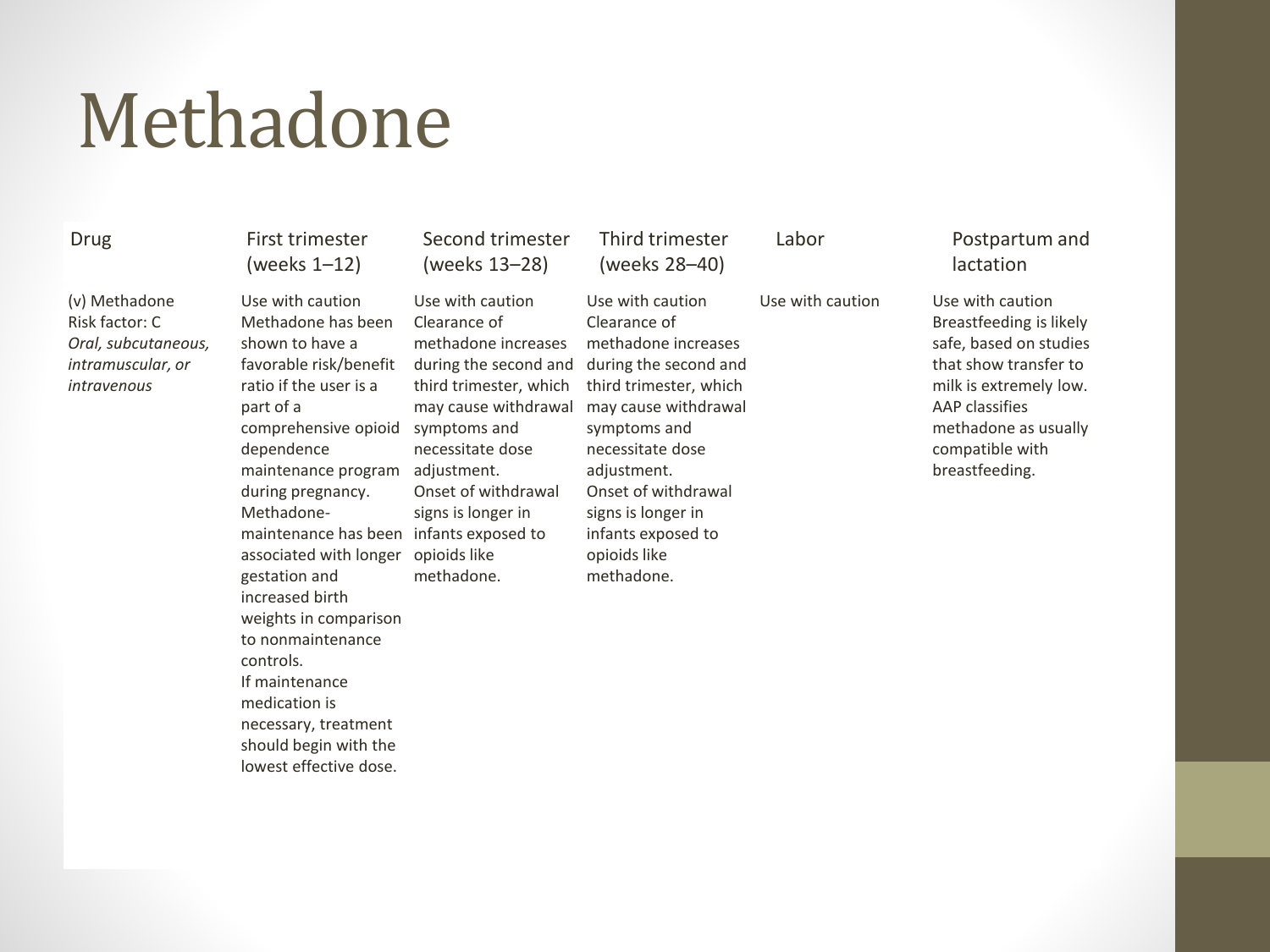#### Methadone

(v) Methadone Risk factor: C *Oral, subcutaneous, intramuscular, or intravenous*

Drug First trimester (weeks 1–12)

> Use with caution Methadone has been shown to have a favorable risk/benefit ratio if the user is a part of a comprehensive opioid symptoms and dependence maintenance program adjustment. during pregnancy. Methadonemaintenance has been infants exposed to associated with longer opioids like gestation and increased birth weights in comparison to nonmaintenance controls. If maintenance medication is necessary, treatment should begin with the lowest effective dose.

#### Second trimester (weeks 13–28)

Use with caution Clearance of methadone increases during the second and third trimester, which may cause withdrawal necessitate dose Onset of withdrawal signs is longer in methadone.

Third trimester (weeks 28–40)

Use with caution Clearance of methadone increases during the second and third trimester, which may cause withdrawal symptoms and necessitate dose adjustment. Onset of withdrawal signs is longer in infants exposed to opioids like methadone.

#### Labor Postpartum and lactation

Use with caution Use with caution Breastfeeding is likely safe, based on studies that show transfer to milk is extremely low. AAP classifies methadone as usually compatible with breastfeeding.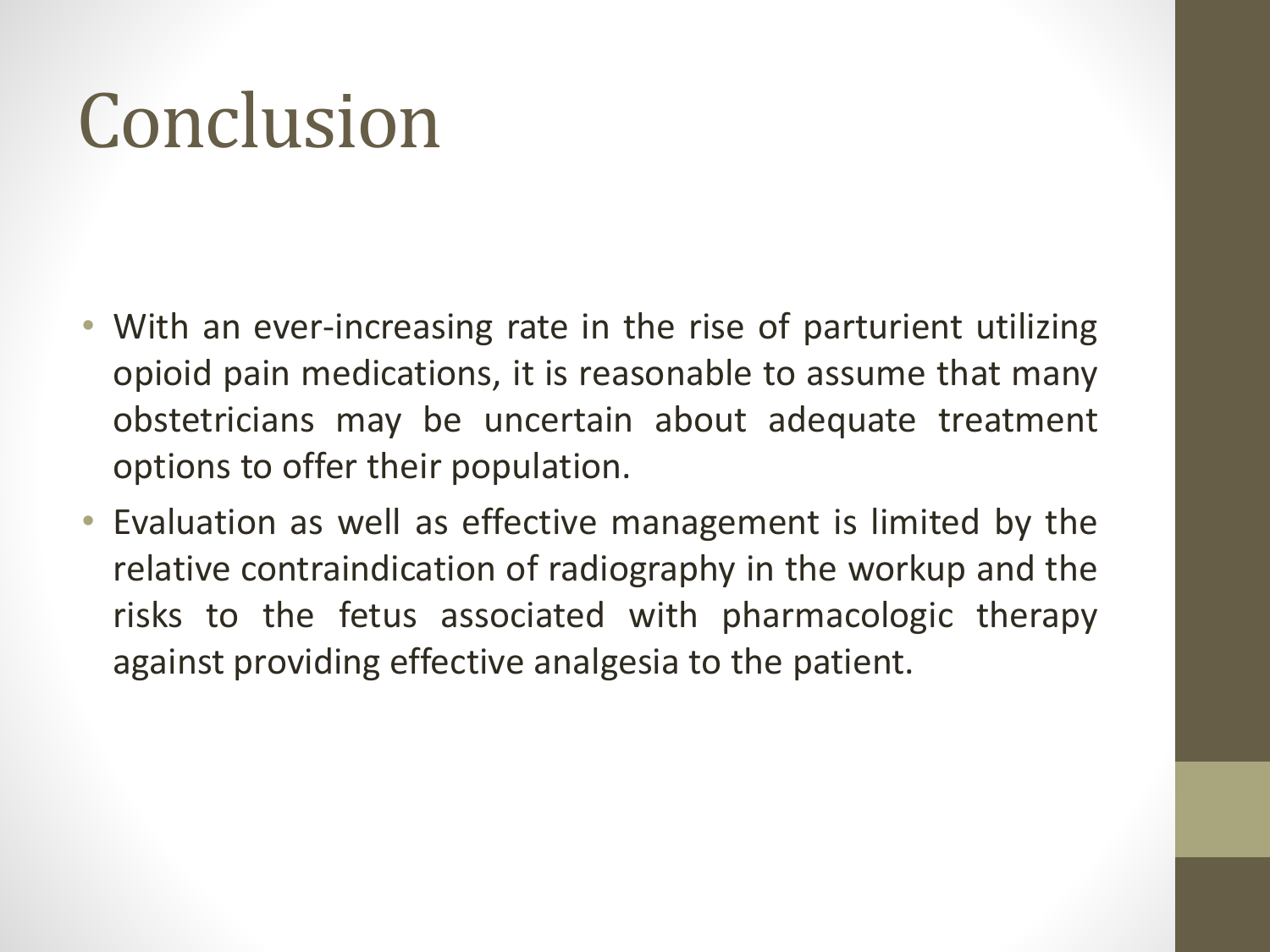### Conclusion

- With an ever-increasing rate in the rise of parturient utilizing opioid pain medications, it is reasonable to assume that many obstetricians may be uncertain about adequate treatment options to offer their population.
- Evaluation as well as effective management is limited by the relative contraindication of radiography in the workup and the risks to the fetus associated with pharmacologic therapy against providing effective analgesia to the patient.